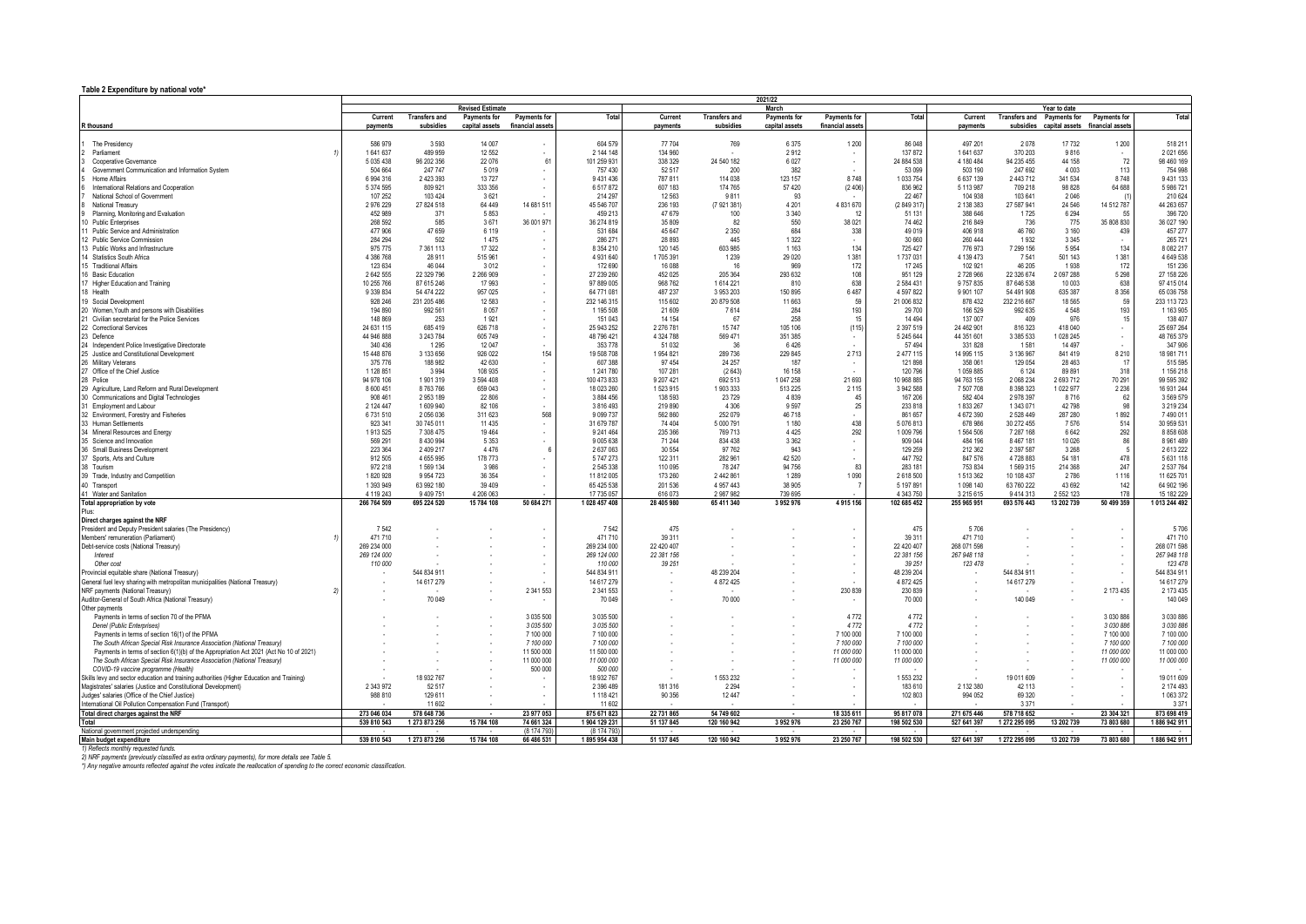## **Table 2 Expenditure by national vote\***

| Total<br>Total<br>Current<br><b>Transfers and</b><br>Payments for<br>Payments for<br>Current<br><b>Transfers and</b><br>Payments for<br>Payments for<br>Total<br>Current<br>Transfers and Payments for<br>Payments for<br>financial assets<br>subsidies<br>financial asset:<br>payments<br>subsidies<br>capital assets<br>payments<br>capital assets<br>payments<br>subsidies capital assets financial assets<br>604 579<br>86 048<br>586 979<br>3 5 9 3<br>14 007<br>77 704<br>6375<br>1 200<br>497 201<br>2078<br>17732<br>1 200<br>518 211<br>The Presidency<br>769<br>2 144 148<br>1641637<br>489 959<br>134 960<br>137 872<br>1 641 637<br>9816<br>2 0 2 1 6 5 6<br>12 5 52<br>2912<br>370 203<br>Parliament<br>$\overline{\phantom{a}}$<br>$\sim$<br>61<br>101 259 931<br>24 540 182<br>24 884 538<br>4 180 484<br>94 235 455<br>44 158<br>72<br>98 460 169<br>5 0 3 5 4 3 8<br>96 202 356<br>22 076<br>338 329<br>6 0 27<br>Cooperative Governance<br>$\overline{\phantom{a}}$<br>Government Communication and Information System<br>504 664<br>247 747<br>5019<br>52 517<br>382<br>53 099<br>503 190<br>247 692<br>4 0 0 3<br>113<br>754 998<br>757 430<br>200<br>8748<br>Home Affairs<br>6 9 9 4 3 1 6<br>2 423 393<br>13727<br>9 431 436<br>787 811<br>114 038<br>123 157<br>8748<br>1 033 754<br>6 637 139<br>2 443 712<br>341 534<br>9 431 133<br>64 688<br>International Relations and Cooperation<br>5 374 595<br>809 921<br>333 356<br>6517872<br>607 183<br>174 765<br>57 420<br>(2.406)<br>836 962<br>5 113 987<br>709 218<br>98828<br>5 986 721<br>107 252<br>103 424<br>3621<br>214 297<br>12 5 63<br>9811<br>93<br>22 467<br>104 938<br>103 641<br>2046<br>210 624<br>National School of Government<br>4 831 670<br>2976229<br>27 824 518<br>64 449<br>14 681 511<br>45 546 707<br>236 193<br>(7 921 381)<br>4 2 0 1<br>(2 849 317)<br>2 138 383<br>27 587 941<br>24 5 46<br>14 512 787<br>44 263 657<br>National Treasury<br>3 3 4 0<br>Planning, Monitoring and Evaluation<br>452 989<br>371<br>5853<br>459 213<br>47679<br>100<br>51 131<br>388 646<br>1725<br>6294<br>55<br>396 720<br>35 808 830<br>268 592<br>585<br>3671<br>36 001 971<br>36 274 819<br>82<br>38 0 21<br>216 849<br>36 027 190<br>35 809<br>550<br>74 462<br>736<br>775<br>10 Public Enterprises<br>47 659<br>684<br>477 906<br>6 1 1 9<br>45 647<br>2 3 5 0<br>49 019<br>406 918<br>46 760<br>3 1 6 0<br>439<br>457 277<br>531 684<br>338<br>284 294<br>502<br>1475<br>286 271<br>28 8 9 3<br>445<br>1 3 2 2<br>30 660<br>260 444<br>1932<br>3 3 4 5<br>265 721<br>$\sim$<br>975 775<br>7 361 113<br>17 322<br>8 3 5 4 2 10<br>120 145<br>603 985<br>1 1 6 3<br>134<br>725 427<br>776 973<br>7 299 156<br>5954<br>134<br>8 082 217<br>$\overline{\phantom{a}}$<br>515 961<br>29 0 20<br>1 3 8 1<br>1 3 8 1<br>4 386 768<br>28 9 11<br>4 931 640<br>1705 391<br>1 2 3 9<br>1737031<br>4 139 473<br>7541<br>501 143<br>4 649 538<br>123 634<br>46 044<br>3012<br>172 690<br>172<br>17 245<br>102 921<br>46 205<br>1938<br>172<br>151 236<br>16 088<br>16<br>969<br>16 Basic Education<br>2 642 555<br>22 329 796<br>2 266 909<br>27 239 260<br>452 025<br>205 364<br>293 632<br>108<br>951 129<br>2728966<br>22 326 674<br>2 097 288<br>5 2 9 8<br>27 158 226<br>638<br>638<br>17 Higher Education and Training<br>10 255 766<br>87 615 246<br>17 993<br>97 889 005<br>968 762<br>1614 221<br>810<br>2 584 431<br>9757835<br>87 646 538<br>10 003<br>97 415 014<br>18 Health<br>54 474 222<br>957 025<br>64 771 081<br>487 237<br>3 953 203<br>150 895<br>6487<br>4 5 9 7 8 2 2<br>9 9 0 1 1 0 7<br>54 491 908<br>635 387<br>8 3 5 6<br>65 036 758<br>9 339 834<br>19 Social Development<br>928 246<br>231 205 486<br>12 583<br>232 146 315<br>115 602<br>20 879 508<br>11 663<br>59<br>21 006 832<br>878 432<br>232 216 667<br>18565<br>59<br>233 113 723<br>992 561<br>4548<br>193<br>1 163 905<br>20 Women, Youth and persons with Disabilities<br>194 890<br>8 0 5 7<br>1 195 508<br>21 609<br>7614<br>284<br>193<br>29 700<br>166 529<br>992 635<br>21 Civilian secretariat for the Police Services<br>976<br>148 869<br>253<br>1921<br>151 043<br>14 154<br>258<br>14 4 9 4<br>137 007<br>409<br>138 407<br>-67<br>15<br>15<br>22 Correctional Services<br>15 747<br>(115)<br>24 631 115<br>685 419<br>626 718<br>25 943 252<br>2 276 781<br>105 106<br>2 3 9 7 5 1 9<br>24 462 901<br>816 323<br>418 040<br>25 697 264<br>$\sim$<br>44 946 888<br>3 243 784<br>605 749<br>48 796 421<br>4 324 788<br>569 471<br>351 385<br>5 245 644<br>44 351 601<br>3 385 533<br>1 028 245<br>48 765 379<br>$\sim$<br>24 Independent Police Investigative Directorate<br>340 436<br>1 2 9 5<br>12 047<br>353 778<br>51 0 32<br>6426<br>57 494<br>331828<br>1581<br>14 4 9 7<br>347906<br>36<br>154<br>2713<br>2 477 115<br>8 2 1 0<br>15 448 876<br>3 133 656<br>926 022<br>19 508 708<br>1954 821<br>289 736<br>229 845<br>14 995 115<br>3 136 967<br>841419<br>18 981 711<br>375 776<br>188 982<br>42 630<br>607 388<br>97 454<br>24 25 7<br>121 898<br>358 061<br>129 054<br>28463<br>515 595<br>187<br>17<br>1 128 851<br>3994<br>108 935<br>1 241 780<br>107 281<br>(2643)<br>16 158<br>120 796<br>1059885<br>6 1 2 4<br>89891<br>318<br>1 156 218<br>21 693<br>70 291<br>99 595 392<br>94 978 106<br>1901319<br>3 594 408<br>100 473 833<br>9 207 421<br>692 513<br>1 047 258<br>10 968 885<br>94 763 155<br>2 068 234<br>2 693 712<br>29 Agriculture, Land Reform and Rural Development<br>659 043<br>2 2 3 6<br>8 600 451<br>8 763 766<br>18 023 260<br>1523915<br>1903333<br>513 225<br>2 1 1 5<br>3 942 588<br>7 507 708<br>8 3 9 8 3 2 3<br>1022977<br>16 931 244<br>62<br>30 Communications and Digital Technologies<br>908 461<br>2 9 5 3 1 8 9<br>22 806<br>23 7 29<br>4839<br>167 206<br>582 404<br>2978397<br>8716<br>3 5 6 9 5 7 9<br>3 884 456<br>138 593<br>45<br>31 Employment and Labour<br>2 124 447<br>1 609 940<br>82 106<br>3 816 493<br>219 890<br>4 3 0 6<br>9.597<br>233 818<br>1833267<br>42798<br><b>QR</b><br>3 219 234<br>25<br>1 343 071<br>568<br>1892<br>32 Environment, Forestry and Fisheries<br>6731510<br>2 056 036<br>311 623<br>9 0 9 7 7 3 7<br>562 860<br>252 079<br>46 718<br>861 657<br>4 672 390<br>2 5 28 4 49<br>287 280<br>7490011<br>33 Human Settlements<br>438<br>514<br>923 341<br>30 745 011<br>11 4 35<br>31 679 787<br>74 404<br>5 000 791<br>1 1 8 0<br>5 076 813<br>678 986<br>30 272 455<br>7576<br>30 959 531<br>34 Mineral Resources and Energy<br>7 308 475<br>19 4 64<br>235 366<br>4 4 2 5<br>292<br>1564506<br>6642<br>292<br>1913525<br>9 241 464<br>769 713<br>1 009 796<br>7 287 168<br>8 858 608<br>35 Science and Innovation<br>569 291<br>8 430 994<br>5 3 5 3<br>9 0 0 5 6 3 8<br>71 244<br>834 438<br>3 3 6 2<br>909 044<br>484 196<br>8 4 6 7 1 8 1<br>10 0 26<br>86<br>8 9 6 1 4 8 9<br>$\overline{\phantom{a}}$<br>36 Small Business Development<br>223 364<br>2 409 217<br>4 4 7 6<br>2 637 063<br>30 554<br>97 762<br>943<br>129 259<br>212 362<br>2 397 587<br>3 2 6 8<br>2613222<br>- 6<br>37 Sports, Arts and Culture<br>478<br>178 773<br>5747273<br>122 311<br>42 520<br>4728883<br>912 505<br>4 655 995<br>282 961<br>447 792<br>847 576<br>54 181<br>5 631 118<br>247<br>972 218<br>1 569 134<br>3986<br>2 545 338<br>110 095<br>78 247<br>94 756<br>83<br>283 181<br>753 834<br>1569315<br>214 368<br>2 537 764<br>39 Trade, Industry and Competition<br>1 0 9 0<br>1 1 1 6<br>9 9 5 4 7 2 3<br>36 354<br>11 812 005<br>173 260<br>2 442 861<br>1 2 8 9<br>2 618 500<br>1513362<br>10 108 437<br>11 625 701<br>1820928<br>2786<br>63 992 180<br>65 425 538<br>4 9 5 7 4 4 3<br>5 197 891<br>63 760 222<br>142<br>64 902 196<br>1 393 949<br>39 409<br>201 536<br>38 905<br>1 098 140<br>43 692<br>4 119 243<br>4 206 063<br>17 735 057<br>2 987 982<br>4 343 750<br>3 215 615<br>2 5 5 2 1 2 3<br>178<br>15 182 229<br>9 409 751<br>616 073<br>739 695<br>9 4 1 4 3 1 3<br>266 764 509<br>695 224 520<br>15 784 108<br>50 684 271<br>1 028 457 408<br>28 405 980<br>3 952 976<br>4 915 156<br>102 685 452<br>693 576 443<br>13 202 739<br>50 499 359<br>1 013 244 492<br>65 411 340<br>255 965 951<br>Direct charges against the NRF<br>7542<br>475<br>5706<br>President and Deputy President salaries (The Presidency)<br>7.542<br>475<br>5706<br>Members' remuneration (Parliament)<br>471710<br>471 710<br>39 311<br>39 311<br>471710<br>471710<br>Debt-service costs (National Treasury)<br>269 234 000<br>269 234 000<br>22 420 407<br>22 420 407<br>268 071 598<br>268 071 598<br>Interest<br>269 124 000<br>269 124 000<br>22 381 156<br>22 381 156<br>267 948 118<br>267 948 118<br>- 20<br>110 000<br>123 478<br>110 000<br>39 251<br>39 251<br>123 478<br>Other cost<br>$\overline{\phantom{a}}$<br>$\sim$<br>544 834 911<br>544 834 911<br>544 834 911<br>544 834 91<br>48 239 204<br>48 239 204<br>Provincial equitable share (National Treasury)<br>$\sim$<br>$\overline{\phantom{a}}$<br>14 617 279<br>14 617 279<br>4 872 425<br>14 617 279<br>14 617 279<br>General fuel levy sharing with metropolitan municipalities (National Treasury)<br>4 872 425<br>2 341 553<br>230 839<br>2 173 435<br>2 341 553<br>230 839<br>2 173 435<br>70 049<br>70 000<br>140 049<br>140 049<br>70 049<br>70 000<br>$\sim$<br>3 035 500<br>4 7 7 2<br>4 7 7 2<br>3 0 3 0 8 8 6<br>3 030 886<br>Payments in terms of section 70 of the PFMA<br>3 0 3 5 5 0 0<br>3 0 3 5 5 0 0<br>3 035 500<br>4 7 7 2<br>4 7 7 2<br>3 0 3 0 8 8 6<br>3 030 886<br>Denel (Public Enterprises)<br>Payments in terms of section 16(1) of the PFMA<br>7 100 000<br>7 100 000<br>7 100 000<br>7 100 000<br>7 100 000<br>7 100 000<br>7 100 000<br>7 100 000<br>The South African Special Risk Insurance Association (National Treasury)<br>7 100 000<br>7 100 000<br>7 100 000<br>7 100 000<br>11 500 000<br>11 500 000<br>11 000 000<br>11 000 000<br>11 000 000<br>11 000 000<br>Payments in terms of section 6(1)(b) of the Appropriation Act 2021 (Act No 10 of 2021)<br>11 000 000<br>11 000 000<br>11 000 000<br>11 000 000<br>11 000 000<br>11 000 000<br>The South African Special Risk Insurance Association (National Treasury)<br>500 000<br>500 000<br>COVID-19 vaccine programme (Health)<br>18 932 767<br>1 553 232<br>19 011 609<br>18 932 767<br>1 553 232<br>19 011 609<br>Skills levy and sector education and training authorities (Higher Education and Training)<br>٠.<br>2 343 972<br>181 316<br>2 132 380<br>2 174 493<br>Magistrates' salaries (Justice and Constitutional Development)<br>52 517<br>2 396 489<br>2 2 9 4<br>183 610<br>42 113<br>$\overline{\phantom{a}}$<br>$\sim$<br>Judges' salaries (Office of the Chief Justice)<br>988 810<br>129 611<br>1 118 421<br>90 356<br>12 447<br>102 803<br>994 052<br>69 3 20<br>1 063 372<br>International Oil Pollution Compensation Fund (Transport)<br>11 602<br>11 602<br>3.371<br>3 3 7 1<br>273 046 034<br>578 648 736<br>23 977 053<br>875 671 823<br>22 731 865<br>54 749 602<br>18 335 611<br>95 817 078<br>271 675 446<br>23 304 321<br>Total direct charges against the NRF<br>578 718 652<br>873 698 419<br>539 810 543<br>1 273 873 256<br>15 784 108<br>74 661 324<br>1 904 129 231<br>51 137 845<br>120 160 942<br>3952976<br>23 250 767<br>198 502 530<br>527 641 397<br>1 272 295 095<br>13 202 739<br>73 803 680<br>1886 942 911<br>(8 174 793)<br>(8 174 793)<br>1886 942 911<br>539 810 543<br>1 273 873 256<br>15 784 108<br>1895 954 438<br>51 137 845<br>120 160 942<br>3952976<br>23 250 767<br>198 502 530<br>527 641 397<br>1 272 295 095<br>13 202 739<br>73 803 680<br>66 486 531<br>2) NRF payments (previously classified as extra ordinary payments), for more details see Table 5. |                                                     | 2021/22 |  |                         |  |  |  |  |       |  |  |  |  |              |  |  |
|------------------------------------------------------------------------------------------------------------------------------------------------------------------------------------------------------------------------------------------------------------------------------------------------------------------------------------------------------------------------------------------------------------------------------------------------------------------------------------------------------------------------------------------------------------------------------------------------------------------------------------------------------------------------------------------------------------------------------------------------------------------------------------------------------------------------------------------------------------------------------------------------------------------------------------------------------------------------------------------------------------------------------------------------------------------------------------------------------------------------------------------------------------------------------------------------------------------------------------------------------------------------------------------------------------------------------------------------------------------------------------------------------------------------------------------------------------------------------------------------------------------------------------------------------------------------------------------------------------------------------------------------------------------------------------------------------------------------------------------------------------------------------------------------------------------------------------------------------------------------------------------------------------------------------------------------------------------------------------------------------------------------------------------------------------------------------------------------------------------------------------------------------------------------------------------------------------------------------------------------------------------------------------------------------------------------------------------------------------------------------------------------------------------------------------------------------------------------------------------------------------------------------------------------------------------------------------------------------------------------------------------------------------------------------------------------------------------------------------------------------------------------------------------------------------------------------------------------------------------------------------------------------------------------------------------------------------------------------------------------------------------------------------------------------------------------------------------------------------------------------------------------------------------------------------------------------------------------------------------------------------------------------------------------------------------------------------------------------------------------------------------------------------------------------------------------------------------------------------------------------------------------------------------------------------------------------------------------------------------------------------------------------------------------------------------------------------------------------------------------------------------------------------------------------------------------------------------------------------------------------------------------------------------------------------------------------------------------------------------------------------------------------------------------------------------------------------------------------------------------------------------------------------------------------------------------------------------------------------------------------------------------------------------------------------------------------------------------------------------------------------------------------------------------------------------------------------------------------------------------------------------------------------------------------------------------------------------------------------------------------------------------------------------------------------------------------------------------------------------------------------------------------------------------------------------------------------------------------------------------------------------------------------------------------------------------------------------------------------------------------------------------------------------------------------------------------------------------------------------------------------------------------------------------------------------------------------------------------------------------------------------------------------------------------------------------------------------------------------------------------------------------------------------------------------------------------------------------------------------------------------------------------------------------------------------------------------------------------------------------------------------------------------------------------------------------------------------------------------------------------------------------------------------------------------------------------------------------------------------------------------------------------------------------------------------------------------------------------------------------------------------------------------------------------------------------------------------------------------------------------------------------------------------------------------------------------------------------------------------------------------------------------------------------------------------------------------------------------------------------------------------------------------------------------------------------------------------------------------------------------------------------------------------------------------------------------------------------------------------------------------------------------------------------------------------------------------------------------------------------------------------------------------------------------------------------------------------------------------------------------------------------------------------------------------------------------------------------------------------------------------------------------------------------------------------------------------------------------------------------------------------------------------------------------------------------------------------------------------------------------------------------------------------------------------------------------------------------------------------------------------------------------------------------------------------------------------------------------------------------------------------------------------------------------------------------------------------------------------------------------------------------------------------------------------------------------------------------------------------------------------------------------------------------------------------------------------------------------------------------------------------------------------------------------------------------------------------------------------------------------------------------------------------------------------------------------------------------------------------------------------------------------------------------------------------------------------------------------------------------------------------------------------------------------------------------------------------------------------------------------------------------------------------------------------------------------------------------------------------------------------------------------------------------------------------------------------------------------------------------------------------------------------------------------------------------------------------------------------------------------------------------------------------------------------------------------------------------------------------------------------------------------------------------------------------------------------------------------------------------------------------------------------------------------------------------------------------------------------------------------------------------------------------------------------------------------------------------------------------------------------------------------------------------------------------------------------------------------------------------------------------------------------------------------------------------------------------------------------------------------------------------------------------------------------------------------------------------------------------------------------------------------------------------------------------------------------------------------------------------------------------------------------------------------------------------------------------------------------------------------------------------------------------------------------------------------------------------------------------------------------------------------------------------------------------------------------------------------------------------------------------------------------------------------------------------------------------------------------------------------------------------------------------------------------------------------------------------------------------------------------------------------------------------------------------------------------------------------------------------------------------------------------------------------------------------------------------------------------------------------------------------------------------------------------------------------------------------------------------------------------------------------------------------------------------------------------------------------------------------------------------------------------------------------------------------------------------------------------------------------------------------------------------------------------------------------------------------------------------------------------------------------------------------------------------------------------------------------------------------------------------------------------------------------------------------------------------------------------------------------------------------------------------------------------------------------------------------------------------------------------------------------------------------------------------------------------------------------------------------------------------------------------------------------------------------------------------------------------------------|-----------------------------------------------------|---------|--|-------------------------|--|--|--|--|-------|--|--|--|--|--------------|--|--|
|                                                                                                                                                                                                                                                                                                                                                                                                                                                                                                                                                                                                                                                                                                                                                                                                                                                                                                                                                                                                                                                                                                                                                                                                                                                                                                                                                                                                                                                                                                                                                                                                                                                                                                                                                                                                                                                                                                                                                                                                                                                                                                                                                                                                                                                                                                                                                                                                                                                                                                                                                                                                                                                                                                                                                                                                                                                                                                                                                                                                                                                                                                                                                                                                                                                                                                                                                                                                                                                                                                                                                                                                                                                                                                                                                                                                                                                                                                                                                                                                                                                                                                                                                                                                                                                                                                                                                                                                                                                                                                                                                                                                                                                                                                                                                                                                                                                                                                                                                                                                                                                                                                                                                                                                                                                                                                                                                                                                                                                                                                                                                                                                                                                                                                                                                                                                                                                                                                                                                                                                                                                                                                                                                                                                                                                                                                                                                                                                                                                                                                                                                                                                                                                                                                                                                                                                                                                                                                                                                                                                                                                                                                                                                                                                                                                                                                                                                                                                                                                                                                                                                                                                                                                                                                                                                                                                                                                                                                                                                                                                                                                                                                                                                                                                                                                                                                                                                                                                                                                                                                                                                                                                                                                                                                                                                                                                                                                                                                                                                                                                                                                                                                                                                                                                                                                                                                                                                                                                                                                                                                                                                                                                                                                                                                                                                                                                                                                                                                                                                                                                                                                                                                                                                                                                                                                                                                                                                                                                                                                                                                                                                                                                                                                                                                                                                                                                                                                                                                                                                                                                                                                                                                                                                                                                                                                                                                                                                                                                                                                                                                                                                                                                                                                                                                                                                |                                                     |         |  | <b>Revised Estimate</b> |  |  |  |  | March |  |  |  |  | Year to date |  |  |
|                                                                                                                                                                                                                                                                                                                                                                                                                                                                                                                                                                                                                                                                                                                                                                                                                                                                                                                                                                                                                                                                                                                                                                                                                                                                                                                                                                                                                                                                                                                                                                                                                                                                                                                                                                                                                                                                                                                                                                                                                                                                                                                                                                                                                                                                                                                                                                                                                                                                                                                                                                                                                                                                                                                                                                                                                                                                                                                                                                                                                                                                                                                                                                                                                                                                                                                                                                                                                                                                                                                                                                                                                                                                                                                                                                                                                                                                                                                                                                                                                                                                                                                                                                                                                                                                                                                                                                                                                                                                                                                                                                                                                                                                                                                                                                                                                                                                                                                                                                                                                                                                                                                                                                                                                                                                                                                                                                                                                                                                                                                                                                                                                                                                                                                                                                                                                                                                                                                                                                                                                                                                                                                                                                                                                                                                                                                                                                                                                                                                                                                                                                                                                                                                                                                                                                                                                                                                                                                                                                                                                                                                                                                                                                                                                                                                                                                                                                                                                                                                                                                                                                                                                                                                                                                                                                                                                                                                                                                                                                                                                                                                                                                                                                                                                                                                                                                                                                                                                                                                                                                                                                                                                                                                                                                                                                                                                                                                                                                                                                                                                                                                                                                                                                                                                                                                                                                                                                                                                                                                                                                                                                                                                                                                                                                                                                                                                                                                                                                                                                                                                                                                                                                                                                                                                                                                                                                                                                                                                                                                                                                                                                                                                                                                                                                                                                                                                                                                                                                                                                                                                                                                                                                                                                                                                                                                                                                                                                                                                                                                                                                                                                                                                                                                                                                                                | R thousand                                          |         |  |                         |  |  |  |  |       |  |  |  |  |              |  |  |
|                                                                                                                                                                                                                                                                                                                                                                                                                                                                                                                                                                                                                                                                                                                                                                                                                                                                                                                                                                                                                                                                                                                                                                                                                                                                                                                                                                                                                                                                                                                                                                                                                                                                                                                                                                                                                                                                                                                                                                                                                                                                                                                                                                                                                                                                                                                                                                                                                                                                                                                                                                                                                                                                                                                                                                                                                                                                                                                                                                                                                                                                                                                                                                                                                                                                                                                                                                                                                                                                                                                                                                                                                                                                                                                                                                                                                                                                                                                                                                                                                                                                                                                                                                                                                                                                                                                                                                                                                                                                                                                                                                                                                                                                                                                                                                                                                                                                                                                                                                                                                                                                                                                                                                                                                                                                                                                                                                                                                                                                                                                                                                                                                                                                                                                                                                                                                                                                                                                                                                                                                                                                                                                                                                                                                                                                                                                                                                                                                                                                                                                                                                                                                                                                                                                                                                                                                                                                                                                                                                                                                                                                                                                                                                                                                                                                                                                                                                                                                                                                                                                                                                                                                                                                                                                                                                                                                                                                                                                                                                                                                                                                                                                                                                                                                                                                                                                                                                                                                                                                                                                                                                                                                                                                                                                                                                                                                                                                                                                                                                                                                                                                                                                                                                                                                                                                                                                                                                                                                                                                                                                                                                                                                                                                                                                                                                                                                                                                                                                                                                                                                                                                                                                                                                                                                                                                                                                                                                                                                                                                                                                                                                                                                                                                                                                                                                                                                                                                                                                                                                                                                                                                                                                                                                                                                                                                                                                                                                                                                                                                                                                                                                                                                                                                                                                                                |                                                     |         |  |                         |  |  |  |  |       |  |  |  |  |              |  |  |
|                                                                                                                                                                                                                                                                                                                                                                                                                                                                                                                                                                                                                                                                                                                                                                                                                                                                                                                                                                                                                                                                                                                                                                                                                                                                                                                                                                                                                                                                                                                                                                                                                                                                                                                                                                                                                                                                                                                                                                                                                                                                                                                                                                                                                                                                                                                                                                                                                                                                                                                                                                                                                                                                                                                                                                                                                                                                                                                                                                                                                                                                                                                                                                                                                                                                                                                                                                                                                                                                                                                                                                                                                                                                                                                                                                                                                                                                                                                                                                                                                                                                                                                                                                                                                                                                                                                                                                                                                                                                                                                                                                                                                                                                                                                                                                                                                                                                                                                                                                                                                                                                                                                                                                                                                                                                                                                                                                                                                                                                                                                                                                                                                                                                                                                                                                                                                                                                                                                                                                                                                                                                                                                                                                                                                                                                                                                                                                                                                                                                                                                                                                                                                                                                                                                                                                                                                                                                                                                                                                                                                                                                                                                                                                                                                                                                                                                                                                                                                                                                                                                                                                                                                                                                                                                                                                                                                                                                                                                                                                                                                                                                                                                                                                                                                                                                                                                                                                                                                                                                                                                                                                                                                                                                                                                                                                                                                                                                                                                                                                                                                                                                                                                                                                                                                                                                                                                                                                                                                                                                                                                                                                                                                                                                                                                                                                                                                                                                                                                                                                                                                                                                                                                                                                                                                                                                                                                                                                                                                                                                                                                                                                                                                                                                                                                                                                                                                                                                                                                                                                                                                                                                                                                                                                                                                                                                                                                                                                                                                                                                                                                                                                                                                                                                                                                                                |                                                     |         |  |                         |  |  |  |  |       |  |  |  |  |              |  |  |
|                                                                                                                                                                                                                                                                                                                                                                                                                                                                                                                                                                                                                                                                                                                                                                                                                                                                                                                                                                                                                                                                                                                                                                                                                                                                                                                                                                                                                                                                                                                                                                                                                                                                                                                                                                                                                                                                                                                                                                                                                                                                                                                                                                                                                                                                                                                                                                                                                                                                                                                                                                                                                                                                                                                                                                                                                                                                                                                                                                                                                                                                                                                                                                                                                                                                                                                                                                                                                                                                                                                                                                                                                                                                                                                                                                                                                                                                                                                                                                                                                                                                                                                                                                                                                                                                                                                                                                                                                                                                                                                                                                                                                                                                                                                                                                                                                                                                                                                                                                                                                                                                                                                                                                                                                                                                                                                                                                                                                                                                                                                                                                                                                                                                                                                                                                                                                                                                                                                                                                                                                                                                                                                                                                                                                                                                                                                                                                                                                                                                                                                                                                                                                                                                                                                                                                                                                                                                                                                                                                                                                                                                                                                                                                                                                                                                                                                                                                                                                                                                                                                                                                                                                                                                                                                                                                                                                                                                                                                                                                                                                                                                                                                                                                                                                                                                                                                                                                                                                                                                                                                                                                                                                                                                                                                                                                                                                                                                                                                                                                                                                                                                                                                                                                                                                                                                                                                                                                                                                                                                                                                                                                                                                                                                                                                                                                                                                                                                                                                                                                                                                                                                                                                                                                                                                                                                                                                                                                                                                                                                                                                                                                                                                                                                                                                                                                                                                                                                                                                                                                                                                                                                                                                                                                                                                                                                                                                                                                                                                                                                                                                                                                                                                                                                                                                                                |                                                     |         |  |                         |  |  |  |  |       |  |  |  |  |              |  |  |
|                                                                                                                                                                                                                                                                                                                                                                                                                                                                                                                                                                                                                                                                                                                                                                                                                                                                                                                                                                                                                                                                                                                                                                                                                                                                                                                                                                                                                                                                                                                                                                                                                                                                                                                                                                                                                                                                                                                                                                                                                                                                                                                                                                                                                                                                                                                                                                                                                                                                                                                                                                                                                                                                                                                                                                                                                                                                                                                                                                                                                                                                                                                                                                                                                                                                                                                                                                                                                                                                                                                                                                                                                                                                                                                                                                                                                                                                                                                                                                                                                                                                                                                                                                                                                                                                                                                                                                                                                                                                                                                                                                                                                                                                                                                                                                                                                                                                                                                                                                                                                                                                                                                                                                                                                                                                                                                                                                                                                                                                                                                                                                                                                                                                                                                                                                                                                                                                                                                                                                                                                                                                                                                                                                                                                                                                                                                                                                                                                                                                                                                                                                                                                                                                                                                                                                                                                                                                                                                                                                                                                                                                                                                                                                                                                                                                                                                                                                                                                                                                                                                                                                                                                                                                                                                                                                                                                                                                                                                                                                                                                                                                                                                                                                                                                                                                                                                                                                                                                                                                                                                                                                                                                                                                                                                                                                                                                                                                                                                                                                                                                                                                                                                                                                                                                                                                                                                                                                                                                                                                                                                                                                                                                                                                                                                                                                                                                                                                                                                                                                                                                                                                                                                                                                                                                                                                                                                                                                                                                                                                                                                                                                                                                                                                                                                                                                                                                                                                                                                                                                                                                                                                                                                                                                                                                                                                                                                                                                                                                                                                                                                                                                                                                                                                                                                                                |                                                     |         |  |                         |  |  |  |  |       |  |  |  |  |              |  |  |
|                                                                                                                                                                                                                                                                                                                                                                                                                                                                                                                                                                                                                                                                                                                                                                                                                                                                                                                                                                                                                                                                                                                                                                                                                                                                                                                                                                                                                                                                                                                                                                                                                                                                                                                                                                                                                                                                                                                                                                                                                                                                                                                                                                                                                                                                                                                                                                                                                                                                                                                                                                                                                                                                                                                                                                                                                                                                                                                                                                                                                                                                                                                                                                                                                                                                                                                                                                                                                                                                                                                                                                                                                                                                                                                                                                                                                                                                                                                                                                                                                                                                                                                                                                                                                                                                                                                                                                                                                                                                                                                                                                                                                                                                                                                                                                                                                                                                                                                                                                                                                                                                                                                                                                                                                                                                                                                                                                                                                                                                                                                                                                                                                                                                                                                                                                                                                                                                                                                                                                                                                                                                                                                                                                                                                                                                                                                                                                                                                                                                                                                                                                                                                                                                                                                                                                                                                                                                                                                                                                                                                                                                                                                                                                                                                                                                                                                                                                                                                                                                                                                                                                                                                                                                                                                                                                                                                                                                                                                                                                                                                                                                                                                                                                                                                                                                                                                                                                                                                                                                                                                                                                                                                                                                                                                                                                                                                                                                                                                                                                                                                                                                                                                                                                                                                                                                                                                                                                                                                                                                                                                                                                                                                                                                                                                                                                                                                                                                                                                                                                                                                                                                                                                                                                                                                                                                                                                                                                                                                                                                                                                                                                                                                                                                                                                                                                                                                                                                                                                                                                                                                                                                                                                                                                                                                                                                                                                                                                                                                                                                                                                                                                                                                                                                                                                                                |                                                     |         |  |                         |  |  |  |  |       |  |  |  |  |              |  |  |
|                                                                                                                                                                                                                                                                                                                                                                                                                                                                                                                                                                                                                                                                                                                                                                                                                                                                                                                                                                                                                                                                                                                                                                                                                                                                                                                                                                                                                                                                                                                                                                                                                                                                                                                                                                                                                                                                                                                                                                                                                                                                                                                                                                                                                                                                                                                                                                                                                                                                                                                                                                                                                                                                                                                                                                                                                                                                                                                                                                                                                                                                                                                                                                                                                                                                                                                                                                                                                                                                                                                                                                                                                                                                                                                                                                                                                                                                                                                                                                                                                                                                                                                                                                                                                                                                                                                                                                                                                                                                                                                                                                                                                                                                                                                                                                                                                                                                                                                                                                                                                                                                                                                                                                                                                                                                                                                                                                                                                                                                                                                                                                                                                                                                                                                                                                                                                                                                                                                                                                                                                                                                                                                                                                                                                                                                                                                                                                                                                                                                                                                                                                                                                                                                                                                                                                                                                                                                                                                                                                                                                                                                                                                                                                                                                                                                                                                                                                                                                                                                                                                                                                                                                                                                                                                                                                                                                                                                                                                                                                                                                                                                                                                                                                                                                                                                                                                                                                                                                                                                                                                                                                                                                                                                                                                                                                                                                                                                                                                                                                                                                                                                                                                                                                                                                                                                                                                                                                                                                                                                                                                                                                                                                                                                                                                                                                                                                                                                                                                                                                                                                                                                                                                                                                                                                                                                                                                                                                                                                                                                                                                                                                                                                                                                                                                                                                                                                                                                                                                                                                                                                                                                                                                                                                                                                                                                                                                                                                                                                                                                                                                                                                                                                                                                                                                                                |                                                     |         |  |                         |  |  |  |  |       |  |  |  |  |              |  |  |
|                                                                                                                                                                                                                                                                                                                                                                                                                                                                                                                                                                                                                                                                                                                                                                                                                                                                                                                                                                                                                                                                                                                                                                                                                                                                                                                                                                                                                                                                                                                                                                                                                                                                                                                                                                                                                                                                                                                                                                                                                                                                                                                                                                                                                                                                                                                                                                                                                                                                                                                                                                                                                                                                                                                                                                                                                                                                                                                                                                                                                                                                                                                                                                                                                                                                                                                                                                                                                                                                                                                                                                                                                                                                                                                                                                                                                                                                                                                                                                                                                                                                                                                                                                                                                                                                                                                                                                                                                                                                                                                                                                                                                                                                                                                                                                                                                                                                                                                                                                                                                                                                                                                                                                                                                                                                                                                                                                                                                                                                                                                                                                                                                                                                                                                                                                                                                                                                                                                                                                                                                                                                                                                                                                                                                                                                                                                                                                                                                                                                                                                                                                                                                                                                                                                                                                                                                                                                                                                                                                                                                                                                                                                                                                                                                                                                                                                                                                                                                                                                                                                                                                                                                                                                                                                                                                                                                                                                                                                                                                                                                                                                                                                                                                                                                                                                                                                                                                                                                                                                                                                                                                                                                                                                                                                                                                                                                                                                                                                                                                                                                                                                                                                                                                                                                                                                                                                                                                                                                                                                                                                                                                                                                                                                                                                                                                                                                                                                                                                                                                                                                                                                                                                                                                                                                                                                                                                                                                                                                                                                                                                                                                                                                                                                                                                                                                                                                                                                                                                                                                                                                                                                                                                                                                                                                                                                                                                                                                                                                                                                                                                                                                                                                                                                                                                                                |                                                     |         |  |                         |  |  |  |  |       |  |  |  |  |              |  |  |
|                                                                                                                                                                                                                                                                                                                                                                                                                                                                                                                                                                                                                                                                                                                                                                                                                                                                                                                                                                                                                                                                                                                                                                                                                                                                                                                                                                                                                                                                                                                                                                                                                                                                                                                                                                                                                                                                                                                                                                                                                                                                                                                                                                                                                                                                                                                                                                                                                                                                                                                                                                                                                                                                                                                                                                                                                                                                                                                                                                                                                                                                                                                                                                                                                                                                                                                                                                                                                                                                                                                                                                                                                                                                                                                                                                                                                                                                                                                                                                                                                                                                                                                                                                                                                                                                                                                                                                                                                                                                                                                                                                                                                                                                                                                                                                                                                                                                                                                                                                                                                                                                                                                                                                                                                                                                                                                                                                                                                                                                                                                                                                                                                                                                                                                                                                                                                                                                                                                                                                                                                                                                                                                                                                                                                                                                                                                                                                                                                                                                                                                                                                                                                                                                                                                                                                                                                                                                                                                                                                                                                                                                                                                                                                                                                                                                                                                                                                                                                                                                                                                                                                                                                                                                                                                                                                                                                                                                                                                                                                                                                                                                                                                                                                                                                                                                                                                                                                                                                                                                                                                                                                                                                                                                                                                                                                                                                                                                                                                                                                                                                                                                                                                                                                                                                                                                                                                                                                                                                                                                                                                                                                                                                                                                                                                                                                                                                                                                                                                                                                                                                                                                                                                                                                                                                                                                                                                                                                                                                                                                                                                                                                                                                                                                                                                                                                                                                                                                                                                                                                                                                                                                                                                                                                                                                                                                                                                                                                                                                                                                                                                                                                                                                                                                                                                                                |                                                     |         |  |                         |  |  |  |  |       |  |  |  |  |              |  |  |
|                                                                                                                                                                                                                                                                                                                                                                                                                                                                                                                                                                                                                                                                                                                                                                                                                                                                                                                                                                                                                                                                                                                                                                                                                                                                                                                                                                                                                                                                                                                                                                                                                                                                                                                                                                                                                                                                                                                                                                                                                                                                                                                                                                                                                                                                                                                                                                                                                                                                                                                                                                                                                                                                                                                                                                                                                                                                                                                                                                                                                                                                                                                                                                                                                                                                                                                                                                                                                                                                                                                                                                                                                                                                                                                                                                                                                                                                                                                                                                                                                                                                                                                                                                                                                                                                                                                                                                                                                                                                                                                                                                                                                                                                                                                                                                                                                                                                                                                                                                                                                                                                                                                                                                                                                                                                                                                                                                                                                                                                                                                                                                                                                                                                                                                                                                                                                                                                                                                                                                                                                                                                                                                                                                                                                                                                                                                                                                                                                                                                                                                                                                                                                                                                                                                                                                                                                                                                                                                                                                                                                                                                                                                                                                                                                                                                                                                                                                                                                                                                                                                                                                                                                                                                                                                                                                                                                                                                                                                                                                                                                                                                                                                                                                                                                                                                                                                                                                                                                                                                                                                                                                                                                                                                                                                                                                                                                                                                                                                                                                                                                                                                                                                                                                                                                                                                                                                                                                                                                                                                                                                                                                                                                                                                                                                                                                                                                                                                                                                                                                                                                                                                                                                                                                                                                                                                                                                                                                                                                                                                                                                                                                                                                                                                                                                                                                                                                                                                                                                                                                                                                                                                                                                                                                                                                                                                                                                                                                                                                                                                                                                                                                                                                                                                                                                                                |                                                     |         |  |                         |  |  |  |  |       |  |  |  |  |              |  |  |
|                                                                                                                                                                                                                                                                                                                                                                                                                                                                                                                                                                                                                                                                                                                                                                                                                                                                                                                                                                                                                                                                                                                                                                                                                                                                                                                                                                                                                                                                                                                                                                                                                                                                                                                                                                                                                                                                                                                                                                                                                                                                                                                                                                                                                                                                                                                                                                                                                                                                                                                                                                                                                                                                                                                                                                                                                                                                                                                                                                                                                                                                                                                                                                                                                                                                                                                                                                                                                                                                                                                                                                                                                                                                                                                                                                                                                                                                                                                                                                                                                                                                                                                                                                                                                                                                                                                                                                                                                                                                                                                                                                                                                                                                                                                                                                                                                                                                                                                                                                                                                                                                                                                                                                                                                                                                                                                                                                                                                                                                                                                                                                                                                                                                                                                                                                                                                                                                                                                                                                                                                                                                                                                                                                                                                                                                                                                                                                                                                                                                                                                                                                                                                                                                                                                                                                                                                                                                                                                                                                                                                                                                                                                                                                                                                                                                                                                                                                                                                                                                                                                                                                                                                                                                                                                                                                                                                                                                                                                                                                                                                                                                                                                                                                                                                                                                                                                                                                                                                                                                                                                                                                                                                                                                                                                                                                                                                                                                                                                                                                                                                                                                                                                                                                                                                                                                                                                                                                                                                                                                                                                                                                                                                                                                                                                                                                                                                                                                                                                                                                                                                                                                                                                                                                                                                                                                                                                                                                                                                                                                                                                                                                                                                                                                                                                                                                                                                                                                                                                                                                                                                                                                                                                                                                                                                                                                                                                                                                                                                                                                                                                                                                                                                                                                                                                                                |                                                     |         |  |                         |  |  |  |  |       |  |  |  |  |              |  |  |
|                                                                                                                                                                                                                                                                                                                                                                                                                                                                                                                                                                                                                                                                                                                                                                                                                                                                                                                                                                                                                                                                                                                                                                                                                                                                                                                                                                                                                                                                                                                                                                                                                                                                                                                                                                                                                                                                                                                                                                                                                                                                                                                                                                                                                                                                                                                                                                                                                                                                                                                                                                                                                                                                                                                                                                                                                                                                                                                                                                                                                                                                                                                                                                                                                                                                                                                                                                                                                                                                                                                                                                                                                                                                                                                                                                                                                                                                                                                                                                                                                                                                                                                                                                                                                                                                                                                                                                                                                                                                                                                                                                                                                                                                                                                                                                                                                                                                                                                                                                                                                                                                                                                                                                                                                                                                                                                                                                                                                                                                                                                                                                                                                                                                                                                                                                                                                                                                                                                                                                                                                                                                                                                                                                                                                                                                                                                                                                                                                                                                                                                                                                                                                                                                                                                                                                                                                                                                                                                                                                                                                                                                                                                                                                                                                                                                                                                                                                                                                                                                                                                                                                                                                                                                                                                                                                                                                                                                                                                                                                                                                                                                                                                                                                                                                                                                                                                                                                                                                                                                                                                                                                                                                                                                                                                                                                                                                                                                                                                                                                                                                                                                                                                                                                                                                                                                                                                                                                                                                                                                                                                                                                                                                                                                                                                                                                                                                                                                                                                                                                                                                                                                                                                                                                                                                                                                                                                                                                                                                                                                                                                                                                                                                                                                                                                                                                                                                                                                                                                                                                                                                                                                                                                                                                                                                                                                                                                                                                                                                                                                                                                                                                                                                                                                                                                                                | 11 Public Service and Administration                |         |  |                         |  |  |  |  |       |  |  |  |  |              |  |  |
|                                                                                                                                                                                                                                                                                                                                                                                                                                                                                                                                                                                                                                                                                                                                                                                                                                                                                                                                                                                                                                                                                                                                                                                                                                                                                                                                                                                                                                                                                                                                                                                                                                                                                                                                                                                                                                                                                                                                                                                                                                                                                                                                                                                                                                                                                                                                                                                                                                                                                                                                                                                                                                                                                                                                                                                                                                                                                                                                                                                                                                                                                                                                                                                                                                                                                                                                                                                                                                                                                                                                                                                                                                                                                                                                                                                                                                                                                                                                                                                                                                                                                                                                                                                                                                                                                                                                                                                                                                                                                                                                                                                                                                                                                                                                                                                                                                                                                                                                                                                                                                                                                                                                                                                                                                                                                                                                                                                                                                                                                                                                                                                                                                                                                                                                                                                                                                                                                                                                                                                                                                                                                                                                                                                                                                                                                                                                                                                                                                                                                                                                                                                                                                                                                                                                                                                                                                                                                                                                                                                                                                                                                                                                                                                                                                                                                                                                                                                                                                                                                                                                                                                                                                                                                                                                                                                                                                                                                                                                                                                                                                                                                                                                                                                                                                                                                                                                                                                                                                                                                                                                                                                                                                                                                                                                                                                                                                                                                                                                                                                                                                                                                                                                                                                                                                                                                                                                                                                                                                                                                                                                                                                                                                                                                                                                                                                                                                                                                                                                                                                                                                                                                                                                                                                                                                                                                                                                                                                                                                                                                                                                                                                                                                                                                                                                                                                                                                                                                                                                                                                                                                                                                                                                                                                                                                                                                                                                                                                                                                                                                                                                                                                                                                                                                                                                                | 12 Public Service Commission                        |         |  |                         |  |  |  |  |       |  |  |  |  |              |  |  |
|                                                                                                                                                                                                                                                                                                                                                                                                                                                                                                                                                                                                                                                                                                                                                                                                                                                                                                                                                                                                                                                                                                                                                                                                                                                                                                                                                                                                                                                                                                                                                                                                                                                                                                                                                                                                                                                                                                                                                                                                                                                                                                                                                                                                                                                                                                                                                                                                                                                                                                                                                                                                                                                                                                                                                                                                                                                                                                                                                                                                                                                                                                                                                                                                                                                                                                                                                                                                                                                                                                                                                                                                                                                                                                                                                                                                                                                                                                                                                                                                                                                                                                                                                                                                                                                                                                                                                                                                                                                                                                                                                                                                                                                                                                                                                                                                                                                                                                                                                                                                                                                                                                                                                                                                                                                                                                                                                                                                                                                                                                                                                                                                                                                                                                                                                                                                                                                                                                                                                                                                                                                                                                                                                                                                                                                                                                                                                                                                                                                                                                                                                                                                                                                                                                                                                                                                                                                                                                                                                                                                                                                                                                                                                                                                                                                                                                                                                                                                                                                                                                                                                                                                                                                                                                                                                                                                                                                                                                                                                                                                                                                                                                                                                                                                                                                                                                                                                                                                                                                                                                                                                                                                                                                                                                                                                                                                                                                                                                                                                                                                                                                                                                                                                                                                                                                                                                                                                                                                                                                                                                                                                                                                                                                                                                                                                                                                                                                                                                                                                                                                                                                                                                                                                                                                                                                                                                                                                                                                                                                                                                                                                                                                                                                                                                                                                                                                                                                                                                                                                                                                                                                                                                                                                                                                                                                                                                                                                                                                                                                                                                                                                                                                                                                                                                                                                | 13 Public Works and Infrastructure                  |         |  |                         |  |  |  |  |       |  |  |  |  |              |  |  |
|                                                                                                                                                                                                                                                                                                                                                                                                                                                                                                                                                                                                                                                                                                                                                                                                                                                                                                                                                                                                                                                                                                                                                                                                                                                                                                                                                                                                                                                                                                                                                                                                                                                                                                                                                                                                                                                                                                                                                                                                                                                                                                                                                                                                                                                                                                                                                                                                                                                                                                                                                                                                                                                                                                                                                                                                                                                                                                                                                                                                                                                                                                                                                                                                                                                                                                                                                                                                                                                                                                                                                                                                                                                                                                                                                                                                                                                                                                                                                                                                                                                                                                                                                                                                                                                                                                                                                                                                                                                                                                                                                                                                                                                                                                                                                                                                                                                                                                                                                                                                                                                                                                                                                                                                                                                                                                                                                                                                                                                                                                                                                                                                                                                                                                                                                                                                                                                                                                                                                                                                                                                                                                                                                                                                                                                                                                                                                                                                                                                                                                                                                                                                                                                                                                                                                                                                                                                                                                                                                                                                                                                                                                                                                                                                                                                                                                                                                                                                                                                                                                                                                                                                                                                                                                                                                                                                                                                                                                                                                                                                                                                                                                                                                                                                                                                                                                                                                                                                                                                                                                                                                                                                                                                                                                                                                                                                                                                                                                                                                                                                                                                                                                                                                                                                                                                                                                                                                                                                                                                                                                                                                                                                                                                                                                                                                                                                                                                                                                                                                                                                                                                                                                                                                                                                                                                                                                                                                                                                                                                                                                                                                                                                                                                                                                                                                                                                                                                                                                                                                                                                                                                                                                                                                                                                                                                                                                                                                                                                                                                                                                                                                                                                                                                                                                                                                | 14 Statistics South Africa                          |         |  |                         |  |  |  |  |       |  |  |  |  |              |  |  |
|                                                                                                                                                                                                                                                                                                                                                                                                                                                                                                                                                                                                                                                                                                                                                                                                                                                                                                                                                                                                                                                                                                                                                                                                                                                                                                                                                                                                                                                                                                                                                                                                                                                                                                                                                                                                                                                                                                                                                                                                                                                                                                                                                                                                                                                                                                                                                                                                                                                                                                                                                                                                                                                                                                                                                                                                                                                                                                                                                                                                                                                                                                                                                                                                                                                                                                                                                                                                                                                                                                                                                                                                                                                                                                                                                                                                                                                                                                                                                                                                                                                                                                                                                                                                                                                                                                                                                                                                                                                                                                                                                                                                                                                                                                                                                                                                                                                                                                                                                                                                                                                                                                                                                                                                                                                                                                                                                                                                                                                                                                                                                                                                                                                                                                                                                                                                                                                                                                                                                                                                                                                                                                                                                                                                                                                                                                                                                                                                                                                                                                                                                                                                                                                                                                                                                                                                                                                                                                                                                                                                                                                                                                                                                                                                                                                                                                                                                                                                                                                                                                                                                                                                                                                                                                                                                                                                                                                                                                                                                                                                                                                                                                                                                                                                                                                                                                                                                                                                                                                                                                                                                                                                                                                                                                                                                                                                                                                                                                                                                                                                                                                                                                                                                                                                                                                                                                                                                                                                                                                                                                                                                                                                                                                                                                                                                                                                                                                                                                                                                                                                                                                                                                                                                                                                                                                                                                                                                                                                                                                                                                                                                                                                                                                                                                                                                                                                                                                                                                                                                                                                                                                                                                                                                                                                                                                                                                                                                                                                                                                                                                                                                                                                                                                                                                                                                | 15 Traditional Affairs                              |         |  |                         |  |  |  |  |       |  |  |  |  |              |  |  |
|                                                                                                                                                                                                                                                                                                                                                                                                                                                                                                                                                                                                                                                                                                                                                                                                                                                                                                                                                                                                                                                                                                                                                                                                                                                                                                                                                                                                                                                                                                                                                                                                                                                                                                                                                                                                                                                                                                                                                                                                                                                                                                                                                                                                                                                                                                                                                                                                                                                                                                                                                                                                                                                                                                                                                                                                                                                                                                                                                                                                                                                                                                                                                                                                                                                                                                                                                                                                                                                                                                                                                                                                                                                                                                                                                                                                                                                                                                                                                                                                                                                                                                                                                                                                                                                                                                                                                                                                                                                                                                                                                                                                                                                                                                                                                                                                                                                                                                                                                                                                                                                                                                                                                                                                                                                                                                                                                                                                                                                                                                                                                                                                                                                                                                                                                                                                                                                                                                                                                                                                                                                                                                                                                                                                                                                                                                                                                                                                                                                                                                                                                                                                                                                                                                                                                                                                                                                                                                                                                                                                                                                                                                                                                                                                                                                                                                                                                                                                                                                                                                                                                                                                                                                                                                                                                                                                                                                                                                                                                                                                                                                                                                                                                                                                                                                                                                                                                                                                                                                                                                                                                                                                                                                                                                                                                                                                                                                                                                                                                                                                                                                                                                                                                                                                                                                                                                                                                                                                                                                                                                                                                                                                                                                                                                                                                                                                                                                                                                                                                                                                                                                                                                                                                                                                                                                                                                                                                                                                                                                                                                                                                                                                                                                                                                                                                                                                                                                                                                                                                                                                                                                                                                                                                                                                                                                                                                                                                                                                                                                                                                                                                                                                                                                                                                                                                |                                                     |         |  |                         |  |  |  |  |       |  |  |  |  |              |  |  |
|                                                                                                                                                                                                                                                                                                                                                                                                                                                                                                                                                                                                                                                                                                                                                                                                                                                                                                                                                                                                                                                                                                                                                                                                                                                                                                                                                                                                                                                                                                                                                                                                                                                                                                                                                                                                                                                                                                                                                                                                                                                                                                                                                                                                                                                                                                                                                                                                                                                                                                                                                                                                                                                                                                                                                                                                                                                                                                                                                                                                                                                                                                                                                                                                                                                                                                                                                                                                                                                                                                                                                                                                                                                                                                                                                                                                                                                                                                                                                                                                                                                                                                                                                                                                                                                                                                                                                                                                                                                                                                                                                                                                                                                                                                                                                                                                                                                                                                                                                                                                                                                                                                                                                                                                                                                                                                                                                                                                                                                                                                                                                                                                                                                                                                                                                                                                                                                                                                                                                                                                                                                                                                                                                                                                                                                                                                                                                                                                                                                                                                                                                                                                                                                                                                                                                                                                                                                                                                                                                                                                                                                                                                                                                                                                                                                                                                                                                                                                                                                                                                                                                                                                                                                                                                                                                                                                                                                                                                                                                                                                                                                                                                                                                                                                                                                                                                                                                                                                                                                                                                                                                                                                                                                                                                                                                                                                                                                                                                                                                                                                                                                                                                                                                                                                                                                                                                                                                                                                                                                                                                                                                                                                                                                                                                                                                                                                                                                                                                                                                                                                                                                                                                                                                                                                                                                                                                                                                                                                                                                                                                                                                                                                                                                                                                                                                                                                                                                                                                                                                                                                                                                                                                                                                                                                                                                                                                                                                                                                                                                                                                                                                                                                                                                                                                                                                |                                                     |         |  |                         |  |  |  |  |       |  |  |  |  |              |  |  |
|                                                                                                                                                                                                                                                                                                                                                                                                                                                                                                                                                                                                                                                                                                                                                                                                                                                                                                                                                                                                                                                                                                                                                                                                                                                                                                                                                                                                                                                                                                                                                                                                                                                                                                                                                                                                                                                                                                                                                                                                                                                                                                                                                                                                                                                                                                                                                                                                                                                                                                                                                                                                                                                                                                                                                                                                                                                                                                                                                                                                                                                                                                                                                                                                                                                                                                                                                                                                                                                                                                                                                                                                                                                                                                                                                                                                                                                                                                                                                                                                                                                                                                                                                                                                                                                                                                                                                                                                                                                                                                                                                                                                                                                                                                                                                                                                                                                                                                                                                                                                                                                                                                                                                                                                                                                                                                                                                                                                                                                                                                                                                                                                                                                                                                                                                                                                                                                                                                                                                                                                                                                                                                                                                                                                                                                                                                                                                                                                                                                                                                                                                                                                                                                                                                                                                                                                                                                                                                                                                                                                                                                                                                                                                                                                                                                                                                                                                                                                                                                                                                                                                                                                                                                                                                                                                                                                                                                                                                                                                                                                                                                                                                                                                                                                                                                                                                                                                                                                                                                                                                                                                                                                                                                                                                                                                                                                                                                                                                                                                                                                                                                                                                                                                                                                                                                                                                                                                                                                                                                                                                                                                                                                                                                                                                                                                                                                                                                                                                                                                                                                                                                                                                                                                                                                                                                                                                                                                                                                                                                                                                                                                                                                                                                                                                                                                                                                                                                                                                                                                                                                                                                                                                                                                                                                                                                                                                                                                                                                                                                                                                                                                                                                                                                                                                                                                |                                                     |         |  |                         |  |  |  |  |       |  |  |  |  |              |  |  |
|                                                                                                                                                                                                                                                                                                                                                                                                                                                                                                                                                                                                                                                                                                                                                                                                                                                                                                                                                                                                                                                                                                                                                                                                                                                                                                                                                                                                                                                                                                                                                                                                                                                                                                                                                                                                                                                                                                                                                                                                                                                                                                                                                                                                                                                                                                                                                                                                                                                                                                                                                                                                                                                                                                                                                                                                                                                                                                                                                                                                                                                                                                                                                                                                                                                                                                                                                                                                                                                                                                                                                                                                                                                                                                                                                                                                                                                                                                                                                                                                                                                                                                                                                                                                                                                                                                                                                                                                                                                                                                                                                                                                                                                                                                                                                                                                                                                                                                                                                                                                                                                                                                                                                                                                                                                                                                                                                                                                                                                                                                                                                                                                                                                                                                                                                                                                                                                                                                                                                                                                                                                                                                                                                                                                                                                                                                                                                                                                                                                                                                                                                                                                                                                                                                                                                                                                                                                                                                                                                                                                                                                                                                                                                                                                                                                                                                                                                                                                                                                                                                                                                                                                                                                                                                                                                                                                                                                                                                                                                                                                                                                                                                                                                                                                                                                                                                                                                                                                                                                                                                                                                                                                                                                                                                                                                                                                                                                                                                                                                                                                                                                                                                                                                                                                                                                                                                                                                                                                                                                                                                                                                                                                                                                                                                                                                                                                                                                                                                                                                                                                                                                                                                                                                                                                                                                                                                                                                                                                                                                                                                                                                                                                                                                                                                                                                                                                                                                                                                                                                                                                                                                                                                                                                                                                                                                                                                                                                                                                                                                                                                                                                                                                                                                                                                                                                |                                                     |         |  |                         |  |  |  |  |       |  |  |  |  |              |  |  |
|                                                                                                                                                                                                                                                                                                                                                                                                                                                                                                                                                                                                                                                                                                                                                                                                                                                                                                                                                                                                                                                                                                                                                                                                                                                                                                                                                                                                                                                                                                                                                                                                                                                                                                                                                                                                                                                                                                                                                                                                                                                                                                                                                                                                                                                                                                                                                                                                                                                                                                                                                                                                                                                                                                                                                                                                                                                                                                                                                                                                                                                                                                                                                                                                                                                                                                                                                                                                                                                                                                                                                                                                                                                                                                                                                                                                                                                                                                                                                                                                                                                                                                                                                                                                                                                                                                                                                                                                                                                                                                                                                                                                                                                                                                                                                                                                                                                                                                                                                                                                                                                                                                                                                                                                                                                                                                                                                                                                                                                                                                                                                                                                                                                                                                                                                                                                                                                                                                                                                                                                                                                                                                                                                                                                                                                                                                                                                                                                                                                                                                                                                                                                                                                                                                                                                                                                                                                                                                                                                                                                                                                                                                                                                                                                                                                                                                                                                                                                                                                                                                                                                                                                                                                                                                                                                                                                                                                                                                                                                                                                                                                                                                                                                                                                                                                                                                                                                                                                                                                                                                                                                                                                                                                                                                                                                                                                                                                                                                                                                                                                                                                                                                                                                                                                                                                                                                                                                                                                                                                                                                                                                                                                                                                                                                                                                                                                                                                                                                                                                                                                                                                                                                                                                                                                                                                                                                                                                                                                                                                                                                                                                                                                                                                                                                                                                                                                                                                                                                                                                                                                                                                                                                                                                                                                                                                                                                                                                                                                                                                                                                                                                                                                                                                                                                                                                |                                                     |         |  |                         |  |  |  |  |       |  |  |  |  |              |  |  |
|                                                                                                                                                                                                                                                                                                                                                                                                                                                                                                                                                                                                                                                                                                                                                                                                                                                                                                                                                                                                                                                                                                                                                                                                                                                                                                                                                                                                                                                                                                                                                                                                                                                                                                                                                                                                                                                                                                                                                                                                                                                                                                                                                                                                                                                                                                                                                                                                                                                                                                                                                                                                                                                                                                                                                                                                                                                                                                                                                                                                                                                                                                                                                                                                                                                                                                                                                                                                                                                                                                                                                                                                                                                                                                                                                                                                                                                                                                                                                                                                                                                                                                                                                                                                                                                                                                                                                                                                                                                                                                                                                                                                                                                                                                                                                                                                                                                                                                                                                                                                                                                                                                                                                                                                                                                                                                                                                                                                                                                                                                                                                                                                                                                                                                                                                                                                                                                                                                                                                                                                                                                                                                                                                                                                                                                                                                                                                                                                                                                                                                                                                                                                                                                                                                                                                                                                                                                                                                                                                                                                                                                                                                                                                                                                                                                                                                                                                                                                                                                                                                                                                                                                                                                                                                                                                                                                                                                                                                                                                                                                                                                                                                                                                                                                                                                                                                                                                                                                                                                                                                                                                                                                                                                                                                                                                                                                                                                                                                                                                                                                                                                                                                                                                                                                                                                                                                                                                                                                                                                                                                                                                                                                                                                                                                                                                                                                                                                                                                                                                                                                                                                                                                                                                                                                                                                                                                                                                                                                                                                                                                                                                                                                                                                                                                                                                                                                                                                                                                                                                                                                                                                                                                                                                                                                                                                                                                                                                                                                                                                                                                                                                                                                                                                                                                                                                |                                                     |         |  |                         |  |  |  |  |       |  |  |  |  |              |  |  |
|                                                                                                                                                                                                                                                                                                                                                                                                                                                                                                                                                                                                                                                                                                                                                                                                                                                                                                                                                                                                                                                                                                                                                                                                                                                                                                                                                                                                                                                                                                                                                                                                                                                                                                                                                                                                                                                                                                                                                                                                                                                                                                                                                                                                                                                                                                                                                                                                                                                                                                                                                                                                                                                                                                                                                                                                                                                                                                                                                                                                                                                                                                                                                                                                                                                                                                                                                                                                                                                                                                                                                                                                                                                                                                                                                                                                                                                                                                                                                                                                                                                                                                                                                                                                                                                                                                                                                                                                                                                                                                                                                                                                                                                                                                                                                                                                                                                                                                                                                                                                                                                                                                                                                                                                                                                                                                                                                                                                                                                                                                                                                                                                                                                                                                                                                                                                                                                                                                                                                                                                                                                                                                                                                                                                                                                                                                                                                                                                                                                                                                                                                                                                                                                                                                                                                                                                                                                                                                                                                                                                                                                                                                                                                                                                                                                                                                                                                                                                                                                                                                                                                                                                                                                                                                                                                                                                                                                                                                                                                                                                                                                                                                                                                                                                                                                                                                                                                                                                                                                                                                                                                                                                                                                                                                                                                                                                                                                                                                                                                                                                                                                                                                                                                                                                                                                                                                                                                                                                                                                                                                                                                                                                                                                                                                                                                                                                                                                                                                                                                                                                                                                                                                                                                                                                                                                                                                                                                                                                                                                                                                                                                                                                                                                                                                                                                                                                                                                                                                                                                                                                                                                                                                                                                                                                                                                                                                                                                                                                                                                                                                                                                                                                                                                                                                                                                | 23 Defence                                          |         |  |                         |  |  |  |  |       |  |  |  |  |              |  |  |
|                                                                                                                                                                                                                                                                                                                                                                                                                                                                                                                                                                                                                                                                                                                                                                                                                                                                                                                                                                                                                                                                                                                                                                                                                                                                                                                                                                                                                                                                                                                                                                                                                                                                                                                                                                                                                                                                                                                                                                                                                                                                                                                                                                                                                                                                                                                                                                                                                                                                                                                                                                                                                                                                                                                                                                                                                                                                                                                                                                                                                                                                                                                                                                                                                                                                                                                                                                                                                                                                                                                                                                                                                                                                                                                                                                                                                                                                                                                                                                                                                                                                                                                                                                                                                                                                                                                                                                                                                                                                                                                                                                                                                                                                                                                                                                                                                                                                                                                                                                                                                                                                                                                                                                                                                                                                                                                                                                                                                                                                                                                                                                                                                                                                                                                                                                                                                                                                                                                                                                                                                                                                                                                                                                                                                                                                                                                                                                                                                                                                                                                                                                                                                                                                                                                                                                                                                                                                                                                                                                                                                                                                                                                                                                                                                                                                                                                                                                                                                                                                                                                                                                                                                                                                                                                                                                                                                                                                                                                                                                                                                                                                                                                                                                                                                                                                                                                                                                                                                                                                                                                                                                                                                                                                                                                                                                                                                                                                                                                                                                                                                                                                                                                                                                                                                                                                                                                                                                                                                                                                                                                                                                                                                                                                                                                                                                                                                                                                                                                                                                                                                                                                                                                                                                                                                                                                                                                                                                                                                                                                                                                                                                                                                                                                                                                                                                                                                                                                                                                                                                                                                                                                                                                                                                                                                                                                                                                                                                                                                                                                                                                                                                                                                                                                                                                                                |                                                     |         |  |                         |  |  |  |  |       |  |  |  |  |              |  |  |
|                                                                                                                                                                                                                                                                                                                                                                                                                                                                                                                                                                                                                                                                                                                                                                                                                                                                                                                                                                                                                                                                                                                                                                                                                                                                                                                                                                                                                                                                                                                                                                                                                                                                                                                                                                                                                                                                                                                                                                                                                                                                                                                                                                                                                                                                                                                                                                                                                                                                                                                                                                                                                                                                                                                                                                                                                                                                                                                                                                                                                                                                                                                                                                                                                                                                                                                                                                                                                                                                                                                                                                                                                                                                                                                                                                                                                                                                                                                                                                                                                                                                                                                                                                                                                                                                                                                                                                                                                                                                                                                                                                                                                                                                                                                                                                                                                                                                                                                                                                                                                                                                                                                                                                                                                                                                                                                                                                                                                                                                                                                                                                                                                                                                                                                                                                                                                                                                                                                                                                                                                                                                                                                                                                                                                                                                                                                                                                                                                                                                                                                                                                                                                                                                                                                                                                                                                                                                                                                                                                                                                                                                                                                                                                                                                                                                                                                                                                                                                                                                                                                                                                                                                                                                                                                                                                                                                                                                                                                                                                                                                                                                                                                                                                                                                                                                                                                                                                                                                                                                                                                                                                                                                                                                                                                                                                                                                                                                                                                                                                                                                                                                                                                                                                                                                                                                                                                                                                                                                                                                                                                                                                                                                                                                                                                                                                                                                                                                                                                                                                                                                                                                                                                                                                                                                                                                                                                                                                                                                                                                                                                                                                                                                                                                                                                                                                                                                                                                                                                                                                                                                                                                                                                                                                                                                                                                                                                                                                                                                                                                                                                                                                                                                                                                                                                                                | 25 Justice and Constitutional Development           |         |  |                         |  |  |  |  |       |  |  |  |  |              |  |  |
|                                                                                                                                                                                                                                                                                                                                                                                                                                                                                                                                                                                                                                                                                                                                                                                                                                                                                                                                                                                                                                                                                                                                                                                                                                                                                                                                                                                                                                                                                                                                                                                                                                                                                                                                                                                                                                                                                                                                                                                                                                                                                                                                                                                                                                                                                                                                                                                                                                                                                                                                                                                                                                                                                                                                                                                                                                                                                                                                                                                                                                                                                                                                                                                                                                                                                                                                                                                                                                                                                                                                                                                                                                                                                                                                                                                                                                                                                                                                                                                                                                                                                                                                                                                                                                                                                                                                                                                                                                                                                                                                                                                                                                                                                                                                                                                                                                                                                                                                                                                                                                                                                                                                                                                                                                                                                                                                                                                                                                                                                                                                                                                                                                                                                                                                                                                                                                                                                                                                                                                                                                                                                                                                                                                                                                                                                                                                                                                                                                                                                                                                                                                                                                                                                                                                                                                                                                                                                                                                                                                                                                                                                                                                                                                                                                                                                                                                                                                                                                                                                                                                                                                                                                                                                                                                                                                                                                                                                                                                                                                                                                                                                                                                                                                                                                                                                                                                                                                                                                                                                                                                                                                                                                                                                                                                                                                                                                                                                                                                                                                                                                                                                                                                                                                                                                                                                                                                                                                                                                                                                                                                                                                                                                                                                                                                                                                                                                                                                                                                                                                                                                                                                                                                                                                                                                                                                                                                                                                                                                                                                                                                                                                                                                                                                                                                                                                                                                                                                                                                                                                                                                                                                                                                                                                                                                                                                                                                                                                                                                                                                                                                                                                                                                                                                                                                                | 26 Military Veterans                                |         |  |                         |  |  |  |  |       |  |  |  |  |              |  |  |
|                                                                                                                                                                                                                                                                                                                                                                                                                                                                                                                                                                                                                                                                                                                                                                                                                                                                                                                                                                                                                                                                                                                                                                                                                                                                                                                                                                                                                                                                                                                                                                                                                                                                                                                                                                                                                                                                                                                                                                                                                                                                                                                                                                                                                                                                                                                                                                                                                                                                                                                                                                                                                                                                                                                                                                                                                                                                                                                                                                                                                                                                                                                                                                                                                                                                                                                                                                                                                                                                                                                                                                                                                                                                                                                                                                                                                                                                                                                                                                                                                                                                                                                                                                                                                                                                                                                                                                                                                                                                                                                                                                                                                                                                                                                                                                                                                                                                                                                                                                                                                                                                                                                                                                                                                                                                                                                                                                                                                                                                                                                                                                                                                                                                                                                                                                                                                                                                                                                                                                                                                                                                                                                                                                                                                                                                                                                                                                                                                                                                                                                                                                                                                                                                                                                                                                                                                                                                                                                                                                                                                                                                                                                                                                                                                                                                                                                                                                                                                                                                                                                                                                                                                                                                                                                                                                                                                                                                                                                                                                                                                                                                                                                                                                                                                                                                                                                                                                                                                                                                                                                                                                                                                                                                                                                                                                                                                                                                                                                                                                                                                                                                                                                                                                                                                                                                                                                                                                                                                                                                                                                                                                                                                                                                                                                                                                                                                                                                                                                                                                                                                                                                                                                                                                                                                                                                                                                                                                                                                                                                                                                                                                                                                                                                                                                                                                                                                                                                                                                                                                                                                                                                                                                                                                                                                                                                                                                                                                                                                                                                                                                                                                                                                                                                                                                                                | 27 Office of the Chief Justice                      |         |  |                         |  |  |  |  |       |  |  |  |  |              |  |  |
|                                                                                                                                                                                                                                                                                                                                                                                                                                                                                                                                                                                                                                                                                                                                                                                                                                                                                                                                                                                                                                                                                                                                                                                                                                                                                                                                                                                                                                                                                                                                                                                                                                                                                                                                                                                                                                                                                                                                                                                                                                                                                                                                                                                                                                                                                                                                                                                                                                                                                                                                                                                                                                                                                                                                                                                                                                                                                                                                                                                                                                                                                                                                                                                                                                                                                                                                                                                                                                                                                                                                                                                                                                                                                                                                                                                                                                                                                                                                                                                                                                                                                                                                                                                                                                                                                                                                                                                                                                                                                                                                                                                                                                                                                                                                                                                                                                                                                                                                                                                                                                                                                                                                                                                                                                                                                                                                                                                                                                                                                                                                                                                                                                                                                                                                                                                                                                                                                                                                                                                                                                                                                                                                                                                                                                                                                                                                                                                                                                                                                                                                                                                                                                                                                                                                                                                                                                                                                                                                                                                                                                                                                                                                                                                                                                                                                                                                                                                                                                                                                                                                                                                                                                                                                                                                                                                                                                                                                                                                                                                                                                                                                                                                                                                                                                                                                                                                                                                                                                                                                                                                                                                                                                                                                                                                                                                                                                                                                                                                                                                                                                                                                                                                                                                                                                                                                                                                                                                                                                                                                                                                                                                                                                                                                                                                                                                                                                                                                                                                                                                                                                                                                                                                                                                                                                                                                                                                                                                                                                                                                                                                                                                                                                                                                                                                                                                                                                                                                                                                                                                                                                                                                                                                                                                                                                                                                                                                                                                                                                                                                                                                                                                                                                                                                                                                                | 28 Police                                           |         |  |                         |  |  |  |  |       |  |  |  |  |              |  |  |
|                                                                                                                                                                                                                                                                                                                                                                                                                                                                                                                                                                                                                                                                                                                                                                                                                                                                                                                                                                                                                                                                                                                                                                                                                                                                                                                                                                                                                                                                                                                                                                                                                                                                                                                                                                                                                                                                                                                                                                                                                                                                                                                                                                                                                                                                                                                                                                                                                                                                                                                                                                                                                                                                                                                                                                                                                                                                                                                                                                                                                                                                                                                                                                                                                                                                                                                                                                                                                                                                                                                                                                                                                                                                                                                                                                                                                                                                                                                                                                                                                                                                                                                                                                                                                                                                                                                                                                                                                                                                                                                                                                                                                                                                                                                                                                                                                                                                                                                                                                                                                                                                                                                                                                                                                                                                                                                                                                                                                                                                                                                                                                                                                                                                                                                                                                                                                                                                                                                                                                                                                                                                                                                                                                                                                                                                                                                                                                                                                                                                                                                                                                                                                                                                                                                                                                                                                                                                                                                                                                                                                                                                                                                                                                                                                                                                                                                                                                                                                                                                                                                                                                                                                                                                                                                                                                                                                                                                                                                                                                                                                                                                                                                                                                                                                                                                                                                                                                                                                                                                                                                                                                                                                                                                                                                                                                                                                                                                                                                                                                                                                                                                                                                                                                                                                                                                                                                                                                                                                                                                                                                                                                                                                                                                                                                                                                                                                                                                                                                                                                                                                                                                                                                                                                                                                                                                                                                                                                                                                                                                                                                                                                                                                                                                                                                                                                                                                                                                                                                                                                                                                                                                                                                                                                                                                                                                                                                                                                                                                                                                                                                                                                                                                                                                                                                                                |                                                     |         |  |                         |  |  |  |  |       |  |  |  |  |              |  |  |
|                                                                                                                                                                                                                                                                                                                                                                                                                                                                                                                                                                                                                                                                                                                                                                                                                                                                                                                                                                                                                                                                                                                                                                                                                                                                                                                                                                                                                                                                                                                                                                                                                                                                                                                                                                                                                                                                                                                                                                                                                                                                                                                                                                                                                                                                                                                                                                                                                                                                                                                                                                                                                                                                                                                                                                                                                                                                                                                                                                                                                                                                                                                                                                                                                                                                                                                                                                                                                                                                                                                                                                                                                                                                                                                                                                                                                                                                                                                                                                                                                                                                                                                                                                                                                                                                                                                                                                                                                                                                                                                                                                                                                                                                                                                                                                                                                                                                                                                                                                                                                                                                                                                                                                                                                                                                                                                                                                                                                                                                                                                                                                                                                                                                                                                                                                                                                                                                                                                                                                                                                                                                                                                                                                                                                                                                                                                                                                                                                                                                                                                                                                                                                                                                                                                                                                                                                                                                                                                                                                                                                                                                                                                                                                                                                                                                                                                                                                                                                                                                                                                                                                                                                                                                                                                                                                                                                                                                                                                                                                                                                                                                                                                                                                                                                                                                                                                                                                                                                                                                                                                                                                                                                                                                                                                                                                                                                                                                                                                                                                                                                                                                                                                                                                                                                                                                                                                                                                                                                                                                                                                                                                                                                                                                                                                                                                                                                                                                                                                                                                                                                                                                                                                                                                                                                                                                                                                                                                                                                                                                                                                                                                                                                                                                                                                                                                                                                                                                                                                                                                                                                                                                                                                                                                                                                                                                                                                                                                                                                                                                                                                                                                                                                                                                                                                                                |                                                     |         |  |                         |  |  |  |  |       |  |  |  |  |              |  |  |
|                                                                                                                                                                                                                                                                                                                                                                                                                                                                                                                                                                                                                                                                                                                                                                                                                                                                                                                                                                                                                                                                                                                                                                                                                                                                                                                                                                                                                                                                                                                                                                                                                                                                                                                                                                                                                                                                                                                                                                                                                                                                                                                                                                                                                                                                                                                                                                                                                                                                                                                                                                                                                                                                                                                                                                                                                                                                                                                                                                                                                                                                                                                                                                                                                                                                                                                                                                                                                                                                                                                                                                                                                                                                                                                                                                                                                                                                                                                                                                                                                                                                                                                                                                                                                                                                                                                                                                                                                                                                                                                                                                                                                                                                                                                                                                                                                                                                                                                                                                                                                                                                                                                                                                                                                                                                                                                                                                                                                                                                                                                                                                                                                                                                                                                                                                                                                                                                                                                                                                                                                                                                                                                                                                                                                                                                                                                                                                                                                                                                                                                                                                                                                                                                                                                                                                                                                                                                                                                                                                                                                                                                                                                                                                                                                                                                                                                                                                                                                                                                                                                                                                                                                                                                                                                                                                                                                                                                                                                                                                                                                                                                                                                                                                                                                                                                                                                                                                                                                                                                                                                                                                                                                                                                                                                                                                                                                                                                                                                                                                                                                                                                                                                                                                                                                                                                                                                                                                                                                                                                                                                                                                                                                                                                                                                                                                                                                                                                                                                                                                                                                                                                                                                                                                                                                                                                                                                                                                                                                                                                                                                                                                                                                                                                                                                                                                                                                                                                                                                                                                                                                                                                                                                                                                                                                                                                                                                                                                                                                                                                                                                                                                                                                                                                                                                                                |                                                     |         |  |                         |  |  |  |  |       |  |  |  |  |              |  |  |
|                                                                                                                                                                                                                                                                                                                                                                                                                                                                                                                                                                                                                                                                                                                                                                                                                                                                                                                                                                                                                                                                                                                                                                                                                                                                                                                                                                                                                                                                                                                                                                                                                                                                                                                                                                                                                                                                                                                                                                                                                                                                                                                                                                                                                                                                                                                                                                                                                                                                                                                                                                                                                                                                                                                                                                                                                                                                                                                                                                                                                                                                                                                                                                                                                                                                                                                                                                                                                                                                                                                                                                                                                                                                                                                                                                                                                                                                                                                                                                                                                                                                                                                                                                                                                                                                                                                                                                                                                                                                                                                                                                                                                                                                                                                                                                                                                                                                                                                                                                                                                                                                                                                                                                                                                                                                                                                                                                                                                                                                                                                                                                                                                                                                                                                                                                                                                                                                                                                                                                                                                                                                                                                                                                                                                                                                                                                                                                                                                                                                                                                                                                                                                                                                                                                                                                                                                                                                                                                                                                                                                                                                                                                                                                                                                                                                                                                                                                                                                                                                                                                                                                                                                                                                                                                                                                                                                                                                                                                                                                                                                                                                                                                                                                                                                                                                                                                                                                                                                                                                                                                                                                                                                                                                                                                                                                                                                                                                                                                                                                                                                                                                                                                                                                                                                                                                                                                                                                                                                                                                                                                                                                                                                                                                                                                                                                                                                                                                                                                                                                                                                                                                                                                                                                                                                                                                                                                                                                                                                                                                                                                                                                                                                                                                                                                                                                                                                                                                                                                                                                                                                                                                                                                                                                                                                                                                                                                                                                                                                                                                                                                                                                                                                                                                                                                                                |                                                     |         |  |                         |  |  |  |  |       |  |  |  |  |              |  |  |
|                                                                                                                                                                                                                                                                                                                                                                                                                                                                                                                                                                                                                                                                                                                                                                                                                                                                                                                                                                                                                                                                                                                                                                                                                                                                                                                                                                                                                                                                                                                                                                                                                                                                                                                                                                                                                                                                                                                                                                                                                                                                                                                                                                                                                                                                                                                                                                                                                                                                                                                                                                                                                                                                                                                                                                                                                                                                                                                                                                                                                                                                                                                                                                                                                                                                                                                                                                                                                                                                                                                                                                                                                                                                                                                                                                                                                                                                                                                                                                                                                                                                                                                                                                                                                                                                                                                                                                                                                                                                                                                                                                                                                                                                                                                                                                                                                                                                                                                                                                                                                                                                                                                                                                                                                                                                                                                                                                                                                                                                                                                                                                                                                                                                                                                                                                                                                                                                                                                                                                                                                                                                                                                                                                                                                                                                                                                                                                                                                                                                                                                                                                                                                                                                                                                                                                                                                                                                                                                                                                                                                                                                                                                                                                                                                                                                                                                                                                                                                                                                                                                                                                                                                                                                                                                                                                                                                                                                                                                                                                                                                                                                                                                                                                                                                                                                                                                                                                                                                                                                                                                                                                                                                                                                                                                                                                                                                                                                                                                                                                                                                                                                                                                                                                                                                                                                                                                                                                                                                                                                                                                                                                                                                                                                                                                                                                                                                                                                                                                                                                                                                                                                                                                                                                                                                                                                                                                                                                                                                                                                                                                                                                                                                                                                                                                                                                                                                                                                                                                                                                                                                                                                                                                                                                                                                                                                                                                                                                                                                                                                                                                                                                                                                                                                                                                                                |                                                     |         |  |                         |  |  |  |  |       |  |  |  |  |              |  |  |
|                                                                                                                                                                                                                                                                                                                                                                                                                                                                                                                                                                                                                                                                                                                                                                                                                                                                                                                                                                                                                                                                                                                                                                                                                                                                                                                                                                                                                                                                                                                                                                                                                                                                                                                                                                                                                                                                                                                                                                                                                                                                                                                                                                                                                                                                                                                                                                                                                                                                                                                                                                                                                                                                                                                                                                                                                                                                                                                                                                                                                                                                                                                                                                                                                                                                                                                                                                                                                                                                                                                                                                                                                                                                                                                                                                                                                                                                                                                                                                                                                                                                                                                                                                                                                                                                                                                                                                                                                                                                                                                                                                                                                                                                                                                                                                                                                                                                                                                                                                                                                                                                                                                                                                                                                                                                                                                                                                                                                                                                                                                                                                                                                                                                                                                                                                                                                                                                                                                                                                                                                                                                                                                                                                                                                                                                                                                                                                                                                                                                                                                                                                                                                                                                                                                                                                                                                                                                                                                                                                                                                                                                                                                                                                                                                                                                                                                                                                                                                                                                                                                                                                                                                                                                                                                                                                                                                                                                                                                                                                                                                                                                                                                                                                                                                                                                                                                                                                                                                                                                                                                                                                                                                                                                                                                                                                                                                                                                                                                                                                                                                                                                                                                                                                                                                                                                                                                                                                                                                                                                                                                                                                                                                                                                                                                                                                                                                                                                                                                                                                                                                                                                                                                                                                                                                                                                                                                                                                                                                                                                                                                                                                                                                                                                                                                                                                                                                                                                                                                                                                                                                                                                                                                                                                                                                                                                                                                                                                                                                                                                                                                                                                                                                                                                                                                                                |                                                     |         |  |                         |  |  |  |  |       |  |  |  |  |              |  |  |
|                                                                                                                                                                                                                                                                                                                                                                                                                                                                                                                                                                                                                                                                                                                                                                                                                                                                                                                                                                                                                                                                                                                                                                                                                                                                                                                                                                                                                                                                                                                                                                                                                                                                                                                                                                                                                                                                                                                                                                                                                                                                                                                                                                                                                                                                                                                                                                                                                                                                                                                                                                                                                                                                                                                                                                                                                                                                                                                                                                                                                                                                                                                                                                                                                                                                                                                                                                                                                                                                                                                                                                                                                                                                                                                                                                                                                                                                                                                                                                                                                                                                                                                                                                                                                                                                                                                                                                                                                                                                                                                                                                                                                                                                                                                                                                                                                                                                                                                                                                                                                                                                                                                                                                                                                                                                                                                                                                                                                                                                                                                                                                                                                                                                                                                                                                                                                                                                                                                                                                                                                                                                                                                                                                                                                                                                                                                                                                                                                                                                                                                                                                                                                                                                                                                                                                                                                                                                                                                                                                                                                                                                                                                                                                                                                                                                                                                                                                                                                                                                                                                                                                                                                                                                                                                                                                                                                                                                                                                                                                                                                                                                                                                                                                                                                                                                                                                                                                                                                                                                                                                                                                                                                                                                                                                                                                                                                                                                                                                                                                                                                                                                                                                                                                                                                                                                                                                                                                                                                                                                                                                                                                                                                                                                                                                                                                                                                                                                                                                                                                                                                                                                                                                                                                                                                                                                                                                                                                                                                                                                                                                                                                                                                                                                                                                                                                                                                                                                                                                                                                                                                                                                                                                                                                                                                                                                                                                                                                                                                                                                                                                                                                                                                                                                                                                                                |                                                     |         |  |                         |  |  |  |  |       |  |  |  |  |              |  |  |
|                                                                                                                                                                                                                                                                                                                                                                                                                                                                                                                                                                                                                                                                                                                                                                                                                                                                                                                                                                                                                                                                                                                                                                                                                                                                                                                                                                                                                                                                                                                                                                                                                                                                                                                                                                                                                                                                                                                                                                                                                                                                                                                                                                                                                                                                                                                                                                                                                                                                                                                                                                                                                                                                                                                                                                                                                                                                                                                                                                                                                                                                                                                                                                                                                                                                                                                                                                                                                                                                                                                                                                                                                                                                                                                                                                                                                                                                                                                                                                                                                                                                                                                                                                                                                                                                                                                                                                                                                                                                                                                                                                                                                                                                                                                                                                                                                                                                                                                                                                                                                                                                                                                                                                                                                                                                                                                                                                                                                                                                                                                                                                                                                                                                                                                                                                                                                                                                                                                                                                                                                                                                                                                                                                                                                                                                                                                                                                                                                                                                                                                                                                                                                                                                                                                                                                                                                                                                                                                                                                                                                                                                                                                                                                                                                                                                                                                                                                                                                                                                                                                                                                                                                                                                                                                                                                                                                                                                                                                                                                                                                                                                                                                                                                                                                                                                                                                                                                                                                                                                                                                                                                                                                                                                                                                                                                                                                                                                                                                                                                                                                                                                                                                                                                                                                                                                                                                                                                                                                                                                                                                                                                                                                                                                                                                                                                                                                                                                                                                                                                                                                                                                                                                                                                                                                                                                                                                                                                                                                                                                                                                                                                                                                                                                                                                                                                                                                                                                                                                                                                                                                                                                                                                                                                                                                                                                                                                                                                                                                                                                                                                                                                                                                                                                                                                                                |                                                     |         |  |                         |  |  |  |  |       |  |  |  |  |              |  |  |
|                                                                                                                                                                                                                                                                                                                                                                                                                                                                                                                                                                                                                                                                                                                                                                                                                                                                                                                                                                                                                                                                                                                                                                                                                                                                                                                                                                                                                                                                                                                                                                                                                                                                                                                                                                                                                                                                                                                                                                                                                                                                                                                                                                                                                                                                                                                                                                                                                                                                                                                                                                                                                                                                                                                                                                                                                                                                                                                                                                                                                                                                                                                                                                                                                                                                                                                                                                                                                                                                                                                                                                                                                                                                                                                                                                                                                                                                                                                                                                                                                                                                                                                                                                                                                                                                                                                                                                                                                                                                                                                                                                                                                                                                                                                                                                                                                                                                                                                                                                                                                                                                                                                                                                                                                                                                                                                                                                                                                                                                                                                                                                                                                                                                                                                                                                                                                                                                                                                                                                                                                                                                                                                                                                                                                                                                                                                                                                                                                                                                                                                                                                                                                                                                                                                                                                                                                                                                                                                                                                                                                                                                                                                                                                                                                                                                                                                                                                                                                                                                                                                                                                                                                                                                                                                                                                                                                                                                                                                                                                                                                                                                                                                                                                                                                                                                                                                                                                                                                                                                                                                                                                                                                                                                                                                                                                                                                                                                                                                                                                                                                                                                                                                                                                                                                                                                                                                                                                                                                                                                                                                                                                                                                                                                                                                                                                                                                                                                                                                                                                                                                                                                                                                                                                                                                                                                                                                                                                                                                                                                                                                                                                                                                                                                                                                                                                                                                                                                                                                                                                                                                                                                                                                                                                                                                                                                                                                                                                                                                                                                                                                                                                                                                                                                                                                                                | 38 Tourism                                          |         |  |                         |  |  |  |  |       |  |  |  |  |              |  |  |
|                                                                                                                                                                                                                                                                                                                                                                                                                                                                                                                                                                                                                                                                                                                                                                                                                                                                                                                                                                                                                                                                                                                                                                                                                                                                                                                                                                                                                                                                                                                                                                                                                                                                                                                                                                                                                                                                                                                                                                                                                                                                                                                                                                                                                                                                                                                                                                                                                                                                                                                                                                                                                                                                                                                                                                                                                                                                                                                                                                                                                                                                                                                                                                                                                                                                                                                                                                                                                                                                                                                                                                                                                                                                                                                                                                                                                                                                                                                                                                                                                                                                                                                                                                                                                                                                                                                                                                                                                                                                                                                                                                                                                                                                                                                                                                                                                                                                                                                                                                                                                                                                                                                                                                                                                                                                                                                                                                                                                                                                                                                                                                                                                                                                                                                                                                                                                                                                                                                                                                                                                                                                                                                                                                                                                                                                                                                                                                                                                                                                                                                                                                                                                                                                                                                                                                                                                                                                                                                                                                                                                                                                                                                                                                                                                                                                                                                                                                                                                                                                                                                                                                                                                                                                                                                                                                                                                                                                                                                                                                                                                                                                                                                                                                                                                                                                                                                                                                                                                                                                                                                                                                                                                                                                                                                                                                                                                                                                                                                                                                                                                                                                                                                                                                                                                                                                                                                                                                                                                                                                                                                                                                                                                                                                                                                                                                                                                                                                                                                                                                                                                                                                                                                                                                                                                                                                                                                                                                                                                                                                                                                                                                                                                                                                                                                                                                                                                                                                                                                                                                                                                                                                                                                                                                                                                                                                                                                                                                                                                                                                                                                                                                                                                                                                                                                                                |                                                     |         |  |                         |  |  |  |  |       |  |  |  |  |              |  |  |
|                                                                                                                                                                                                                                                                                                                                                                                                                                                                                                                                                                                                                                                                                                                                                                                                                                                                                                                                                                                                                                                                                                                                                                                                                                                                                                                                                                                                                                                                                                                                                                                                                                                                                                                                                                                                                                                                                                                                                                                                                                                                                                                                                                                                                                                                                                                                                                                                                                                                                                                                                                                                                                                                                                                                                                                                                                                                                                                                                                                                                                                                                                                                                                                                                                                                                                                                                                                                                                                                                                                                                                                                                                                                                                                                                                                                                                                                                                                                                                                                                                                                                                                                                                                                                                                                                                                                                                                                                                                                                                                                                                                                                                                                                                                                                                                                                                                                                                                                                                                                                                                                                                                                                                                                                                                                                                                                                                                                                                                                                                                                                                                                                                                                                                                                                                                                                                                                                                                                                                                                                                                                                                                                                                                                                                                                                                                                                                                                                                                                                                                                                                                                                                                                                                                                                                                                                                                                                                                                                                                                                                                                                                                                                                                                                                                                                                                                                                                                                                                                                                                                                                                                                                                                                                                                                                                                                                                                                                                                                                                                                                                                                                                                                                                                                                                                                                                                                                                                                                                                                                                                                                                                                                                                                                                                                                                                                                                                                                                                                                                                                                                                                                                                                                                                                                                                                                                                                                                                                                                                                                                                                                                                                                                                                                                                                                                                                                                                                                                                                                                                                                                                                                                                                                                                                                                                                                                                                                                                                                                                                                                                                                                                                                                                                                                                                                                                                                                                                                                                                                                                                                                                                                                                                                                                                                                                                                                                                                                                                                                                                                                                                                                                                                                                                                                                                | 40 Transport                                        |         |  |                         |  |  |  |  |       |  |  |  |  |              |  |  |
|                                                                                                                                                                                                                                                                                                                                                                                                                                                                                                                                                                                                                                                                                                                                                                                                                                                                                                                                                                                                                                                                                                                                                                                                                                                                                                                                                                                                                                                                                                                                                                                                                                                                                                                                                                                                                                                                                                                                                                                                                                                                                                                                                                                                                                                                                                                                                                                                                                                                                                                                                                                                                                                                                                                                                                                                                                                                                                                                                                                                                                                                                                                                                                                                                                                                                                                                                                                                                                                                                                                                                                                                                                                                                                                                                                                                                                                                                                                                                                                                                                                                                                                                                                                                                                                                                                                                                                                                                                                                                                                                                                                                                                                                                                                                                                                                                                                                                                                                                                                                                                                                                                                                                                                                                                                                                                                                                                                                                                                                                                                                                                                                                                                                                                                                                                                                                                                                                                                                                                                                                                                                                                                                                                                                                                                                                                                                                                                                                                                                                                                                                                                                                                                                                                                                                                                                                                                                                                                                                                                                                                                                                                                                                                                                                                                                                                                                                                                                                                                                                                                                                                                                                                                                                                                                                                                                                                                                                                                                                                                                                                                                                                                                                                                                                                                                                                                                                                                                                                                                                                                                                                                                                                                                                                                                                                                                                                                                                                                                                                                                                                                                                                                                                                                                                                                                                                                                                                                                                                                                                                                                                                                                                                                                                                                                                                                                                                                                                                                                                                                                                                                                                                                                                                                                                                                                                                                                                                                                                                                                                                                                                                                                                                                                                                                                                                                                                                                                                                                                                                                                                                                                                                                                                                                                                                                                                                                                                                                                                                                                                                                                                                                                                                                                                                                                                | 41 Water and Sanitation                             |         |  |                         |  |  |  |  |       |  |  |  |  |              |  |  |
|                                                                                                                                                                                                                                                                                                                                                                                                                                                                                                                                                                                                                                                                                                                                                                                                                                                                                                                                                                                                                                                                                                                                                                                                                                                                                                                                                                                                                                                                                                                                                                                                                                                                                                                                                                                                                                                                                                                                                                                                                                                                                                                                                                                                                                                                                                                                                                                                                                                                                                                                                                                                                                                                                                                                                                                                                                                                                                                                                                                                                                                                                                                                                                                                                                                                                                                                                                                                                                                                                                                                                                                                                                                                                                                                                                                                                                                                                                                                                                                                                                                                                                                                                                                                                                                                                                                                                                                                                                                                                                                                                                                                                                                                                                                                                                                                                                                                                                                                                                                                                                                                                                                                                                                                                                                                                                                                                                                                                                                                                                                                                                                                                                                                                                                                                                                                                                                                                                                                                                                                                                                                                                                                                                                                                                                                                                                                                                                                                                                                                                                                                                                                                                                                                                                                                                                                                                                                                                                                                                                                                                                                                                                                                                                                                                                                                                                                                                                                                                                                                                                                                                                                                                                                                                                                                                                                                                                                                                                                                                                                                                                                                                                                                                                                                                                                                                                                                                                                                                                                                                                                                                                                                                                                                                                                                                                                                                                                                                                                                                                                                                                                                                                                                                                                                                                                                                                                                                                                                                                                                                                                                                                                                                                                                                                                                                                                                                                                                                                                                                                                                                                                                                                                                                                                                                                                                                                                                                                                                                                                                                                                                                                                                                                                                                                                                                                                                                                                                                                                                                                                                                                                                                                                                                                                                                                                                                                                                                                                                                                                                                                                                                                                                                                                                                                                                | Total appropriation by vote                         |         |  |                         |  |  |  |  |       |  |  |  |  |              |  |  |
|                                                                                                                                                                                                                                                                                                                                                                                                                                                                                                                                                                                                                                                                                                                                                                                                                                                                                                                                                                                                                                                                                                                                                                                                                                                                                                                                                                                                                                                                                                                                                                                                                                                                                                                                                                                                                                                                                                                                                                                                                                                                                                                                                                                                                                                                                                                                                                                                                                                                                                                                                                                                                                                                                                                                                                                                                                                                                                                                                                                                                                                                                                                                                                                                                                                                                                                                                                                                                                                                                                                                                                                                                                                                                                                                                                                                                                                                                                                                                                                                                                                                                                                                                                                                                                                                                                                                                                                                                                                                                                                                                                                                                                                                                                                                                                                                                                                                                                                                                                                                                                                                                                                                                                                                                                                                                                                                                                                                                                                                                                                                                                                                                                                                                                                                                                                                                                                                                                                                                                                                                                                                                                                                                                                                                                                                                                                                                                                                                                                                                                                                                                                                                                                                                                                                                                                                                                                                                                                                                                                                                                                                                                                                                                                                                                                                                                                                                                                                                                                                                                                                                                                                                                                                                                                                                                                                                                                                                                                                                                                                                                                                                                                                                                                                                                                                                                                                                                                                                                                                                                                                                                                                                                                                                                                                                                                                                                                                                                                                                                                                                                                                                                                                                                                                                                                                                                                                                                                                                                                                                                                                                                                                                                                                                                                                                                                                                                                                                                                                                                                                                                                                                                                                                                                                                                                                                                                                                                                                                                                                                                                                                                                                                                                                                                                                                                                                                                                                                                                                                                                                                                                                                                                                                                                                                                                                                                                                                                                                                                                                                                                                                                                                                                                                                                                                                | Plus:                                               |         |  |                         |  |  |  |  |       |  |  |  |  |              |  |  |
|                                                                                                                                                                                                                                                                                                                                                                                                                                                                                                                                                                                                                                                                                                                                                                                                                                                                                                                                                                                                                                                                                                                                                                                                                                                                                                                                                                                                                                                                                                                                                                                                                                                                                                                                                                                                                                                                                                                                                                                                                                                                                                                                                                                                                                                                                                                                                                                                                                                                                                                                                                                                                                                                                                                                                                                                                                                                                                                                                                                                                                                                                                                                                                                                                                                                                                                                                                                                                                                                                                                                                                                                                                                                                                                                                                                                                                                                                                                                                                                                                                                                                                                                                                                                                                                                                                                                                                                                                                                                                                                                                                                                                                                                                                                                                                                                                                                                                                                                                                                                                                                                                                                                                                                                                                                                                                                                                                                                                                                                                                                                                                                                                                                                                                                                                                                                                                                                                                                                                                                                                                                                                                                                                                                                                                                                                                                                                                                                                                                                                                                                                                                                                                                                                                                                                                                                                                                                                                                                                                                                                                                                                                                                                                                                                                                                                                                                                                                                                                                                                                                                                                                                                                                                                                                                                                                                                                                                                                                                                                                                                                                                                                                                                                                                                                                                                                                                                                                                                                                                                                                                                                                                                                                                                                                                                                                                                                                                                                                                                                                                                                                                                                                                                                                                                                                                                                                                                                                                                                                                                                                                                                                                                                                                                                                                                                                                                                                                                                                                                                                                                                                                                                                                                                                                                                                                                                                                                                                                                                                                                                                                                                                                                                                                                                                                                                                                                                                                                                                                                                                                                                                                                                                                                                                                                                                                                                                                                                                                                                                                                                                                                                                                                                                                                                                                                |                                                     |         |  |                         |  |  |  |  |       |  |  |  |  |              |  |  |
|                                                                                                                                                                                                                                                                                                                                                                                                                                                                                                                                                                                                                                                                                                                                                                                                                                                                                                                                                                                                                                                                                                                                                                                                                                                                                                                                                                                                                                                                                                                                                                                                                                                                                                                                                                                                                                                                                                                                                                                                                                                                                                                                                                                                                                                                                                                                                                                                                                                                                                                                                                                                                                                                                                                                                                                                                                                                                                                                                                                                                                                                                                                                                                                                                                                                                                                                                                                                                                                                                                                                                                                                                                                                                                                                                                                                                                                                                                                                                                                                                                                                                                                                                                                                                                                                                                                                                                                                                                                                                                                                                                                                                                                                                                                                                                                                                                                                                                                                                                                                                                                                                                                                                                                                                                                                                                                                                                                                                                                                                                                                                                                                                                                                                                                                                                                                                                                                                                                                                                                                                                                                                                                                                                                                                                                                                                                                                                                                                                                                                                                                                                                                                                                                                                                                                                                                                                                                                                                                                                                                                                                                                                                                                                                                                                                                                                                                                                                                                                                                                                                                                                                                                                                                                                                                                                                                                                                                                                                                                                                                                                                                                                                                                                                                                                                                                                                                                                                                                                                                                                                                                                                                                                                                                                                                                                                                                                                                                                                                                                                                                                                                                                                                                                                                                                                                                                                                                                                                                                                                                                                                                                                                                                                                                                                                                                                                                                                                                                                                                                                                                                                                                                                                                                                                                                                                                                                                                                                                                                                                                                                                                                                                                                                                                                                                                                                                                                                                                                                                                                                                                                                                                                                                                                                                                                                                                                                                                                                                                                                                                                                                                                                                                                                                                                                                                |                                                     |         |  |                         |  |  |  |  |       |  |  |  |  |              |  |  |
|                                                                                                                                                                                                                                                                                                                                                                                                                                                                                                                                                                                                                                                                                                                                                                                                                                                                                                                                                                                                                                                                                                                                                                                                                                                                                                                                                                                                                                                                                                                                                                                                                                                                                                                                                                                                                                                                                                                                                                                                                                                                                                                                                                                                                                                                                                                                                                                                                                                                                                                                                                                                                                                                                                                                                                                                                                                                                                                                                                                                                                                                                                                                                                                                                                                                                                                                                                                                                                                                                                                                                                                                                                                                                                                                                                                                                                                                                                                                                                                                                                                                                                                                                                                                                                                                                                                                                                                                                                                                                                                                                                                                                                                                                                                                                                                                                                                                                                                                                                                                                                                                                                                                                                                                                                                                                                                                                                                                                                                                                                                                                                                                                                                                                                                                                                                                                                                                                                                                                                                                                                                                                                                                                                                                                                                                                                                                                                                                                                                                                                                                                                                                                                                                                                                                                                                                                                                                                                                                                                                                                                                                                                                                                                                                                                                                                                                                                                                                                                                                                                                                                                                                                                                                                                                                                                                                                                                                                                                                                                                                                                                                                                                                                                                                                                                                                                                                                                                                                                                                                                                                                                                                                                                                                                                                                                                                                                                                                                                                                                                                                                                                                                                                                                                                                                                                                                                                                                                                                                                                                                                                                                                                                                                                                                                                                                                                                                                                                                                                                                                                                                                                                                                                                                                                                                                                                                                                                                                                                                                                                                                                                                                                                                                                                                                                                                                                                                                                                                                                                                                                                                                                                                                                                                                                                                                                                                                                                                                                                                                                                                                                                                                                                                                                                                                                                |                                                     |         |  |                         |  |  |  |  |       |  |  |  |  |              |  |  |
|                                                                                                                                                                                                                                                                                                                                                                                                                                                                                                                                                                                                                                                                                                                                                                                                                                                                                                                                                                                                                                                                                                                                                                                                                                                                                                                                                                                                                                                                                                                                                                                                                                                                                                                                                                                                                                                                                                                                                                                                                                                                                                                                                                                                                                                                                                                                                                                                                                                                                                                                                                                                                                                                                                                                                                                                                                                                                                                                                                                                                                                                                                                                                                                                                                                                                                                                                                                                                                                                                                                                                                                                                                                                                                                                                                                                                                                                                                                                                                                                                                                                                                                                                                                                                                                                                                                                                                                                                                                                                                                                                                                                                                                                                                                                                                                                                                                                                                                                                                                                                                                                                                                                                                                                                                                                                                                                                                                                                                                                                                                                                                                                                                                                                                                                                                                                                                                                                                                                                                                                                                                                                                                                                                                                                                                                                                                                                                                                                                                                                                                                                                                                                                                                                                                                                                                                                                                                                                                                                                                                                                                                                                                                                                                                                                                                                                                                                                                                                                                                                                                                                                                                                                                                                                                                                                                                                                                                                                                                                                                                                                                                                                                                                                                                                                                                                                                                                                                                                                                                                                                                                                                                                                                                                                                                                                                                                                                                                                                                                                                                                                                                                                                                                                                                                                                                                                                                                                                                                                                                                                                                                                                                                                                                                                                                                                                                                                                                                                                                                                                                                                                                                                                                                                                                                                                                                                                                                                                                                                                                                                                                                                                                                                                                                                                                                                                                                                                                                                                                                                                                                                                                                                                                                                                                                                                                                                                                                                                                                                                                                                                                                                                                                                                                                                                                                |                                                     |         |  |                         |  |  |  |  |       |  |  |  |  |              |  |  |
|                                                                                                                                                                                                                                                                                                                                                                                                                                                                                                                                                                                                                                                                                                                                                                                                                                                                                                                                                                                                                                                                                                                                                                                                                                                                                                                                                                                                                                                                                                                                                                                                                                                                                                                                                                                                                                                                                                                                                                                                                                                                                                                                                                                                                                                                                                                                                                                                                                                                                                                                                                                                                                                                                                                                                                                                                                                                                                                                                                                                                                                                                                                                                                                                                                                                                                                                                                                                                                                                                                                                                                                                                                                                                                                                                                                                                                                                                                                                                                                                                                                                                                                                                                                                                                                                                                                                                                                                                                                                                                                                                                                                                                                                                                                                                                                                                                                                                                                                                                                                                                                                                                                                                                                                                                                                                                                                                                                                                                                                                                                                                                                                                                                                                                                                                                                                                                                                                                                                                                                                                                                                                                                                                                                                                                                                                                                                                                                                                                                                                                                                                                                                                                                                                                                                                                                                                                                                                                                                                                                                                                                                                                                                                                                                                                                                                                                                                                                                                                                                                                                                                                                                                                                                                                                                                                                                                                                                                                                                                                                                                                                                                                                                                                                                                                                                                                                                                                                                                                                                                                                                                                                                                                                                                                                                                                                                                                                                                                                                                                                                                                                                                                                                                                                                                                                                                                                                                                                                                                                                                                                                                                                                                                                                                                                                                                                                                                                                                                                                                                                                                                                                                                                                                                                                                                                                                                                                                                                                                                                                                                                                                                                                                                                                                                                                                                                                                                                                                                                                                                                                                                                                                                                                                                                                                                                                                                                                                                                                                                                                                                                                                                                                                                                                                                                                                |                                                     |         |  |                         |  |  |  |  |       |  |  |  |  |              |  |  |
|                                                                                                                                                                                                                                                                                                                                                                                                                                                                                                                                                                                                                                                                                                                                                                                                                                                                                                                                                                                                                                                                                                                                                                                                                                                                                                                                                                                                                                                                                                                                                                                                                                                                                                                                                                                                                                                                                                                                                                                                                                                                                                                                                                                                                                                                                                                                                                                                                                                                                                                                                                                                                                                                                                                                                                                                                                                                                                                                                                                                                                                                                                                                                                                                                                                                                                                                                                                                                                                                                                                                                                                                                                                                                                                                                                                                                                                                                                                                                                                                                                                                                                                                                                                                                                                                                                                                                                                                                                                                                                                                                                                                                                                                                                                                                                                                                                                                                                                                                                                                                                                                                                                                                                                                                                                                                                                                                                                                                                                                                                                                                                                                                                                                                                                                                                                                                                                                                                                                                                                                                                                                                                                                                                                                                                                                                                                                                                                                                                                                                                                                                                                                                                                                                                                                                                                                                                                                                                                                                                                                                                                                                                                                                                                                                                                                                                                                                                                                                                                                                                                                                                                                                                                                                                                                                                                                                                                                                                                                                                                                                                                                                                                                                                                                                                                                                                                                                                                                                                                                                                                                                                                                                                                                                                                                                                                                                                                                                                                                                                                                                                                                                                                                                                                                                                                                                                                                                                                                                                                                                                                                                                                                                                                                                                                                                                                                                                                                                                                                                                                                                                                                                                                                                                                                                                                                                                                                                                                                                                                                                                                                                                                                                                                                                                                                                                                                                                                                                                                                                                                                                                                                                                                                                                                                                                                                                                                                                                                                                                                                                                                                                                                                                                                                                                                                                |                                                     |         |  |                         |  |  |  |  |       |  |  |  |  |              |  |  |
|                                                                                                                                                                                                                                                                                                                                                                                                                                                                                                                                                                                                                                                                                                                                                                                                                                                                                                                                                                                                                                                                                                                                                                                                                                                                                                                                                                                                                                                                                                                                                                                                                                                                                                                                                                                                                                                                                                                                                                                                                                                                                                                                                                                                                                                                                                                                                                                                                                                                                                                                                                                                                                                                                                                                                                                                                                                                                                                                                                                                                                                                                                                                                                                                                                                                                                                                                                                                                                                                                                                                                                                                                                                                                                                                                                                                                                                                                                                                                                                                                                                                                                                                                                                                                                                                                                                                                                                                                                                                                                                                                                                                                                                                                                                                                                                                                                                                                                                                                                                                                                                                                                                                                                                                                                                                                                                                                                                                                                                                                                                                                                                                                                                                                                                                                                                                                                                                                                                                                                                                                                                                                                                                                                                                                                                                                                                                                                                                                                                                                                                                                                                                                                                                                                                                                                                                                                                                                                                                                                                                                                                                                                                                                                                                                                                                                                                                                                                                                                                                                                                                                                                                                                                                                                                                                                                                                                                                                                                                                                                                                                                                                                                                                                                                                                                                                                                                                                                                                                                                                                                                                                                                                                                                                                                                                                                                                                                                                                                                                                                                                                                                                                                                                                                                                                                                                                                                                                                                                                                                                                                                                                                                                                                                                                                                                                                                                                                                                                                                                                                                                                                                                                                                                                                                                                                                                                                                                                                                                                                                                                                                                                                                                                                                                                                                                                                                                                                                                                                                                                                                                                                                                                                                                                                                                                                                                                                                                                                                                                                                                                                                                                                                                                                                                                                                                |                                                     |         |  |                         |  |  |  |  |       |  |  |  |  |              |  |  |
|                                                                                                                                                                                                                                                                                                                                                                                                                                                                                                                                                                                                                                                                                                                                                                                                                                                                                                                                                                                                                                                                                                                                                                                                                                                                                                                                                                                                                                                                                                                                                                                                                                                                                                                                                                                                                                                                                                                                                                                                                                                                                                                                                                                                                                                                                                                                                                                                                                                                                                                                                                                                                                                                                                                                                                                                                                                                                                                                                                                                                                                                                                                                                                                                                                                                                                                                                                                                                                                                                                                                                                                                                                                                                                                                                                                                                                                                                                                                                                                                                                                                                                                                                                                                                                                                                                                                                                                                                                                                                                                                                                                                                                                                                                                                                                                                                                                                                                                                                                                                                                                                                                                                                                                                                                                                                                                                                                                                                                                                                                                                                                                                                                                                                                                                                                                                                                                                                                                                                                                                                                                                                                                                                                                                                                                                                                                                                                                                                                                                                                                                                                                                                                                                                                                                                                                                                                                                                                                                                                                                                                                                                                                                                                                                                                                                                                                                                                                                                                                                                                                                                                                                                                                                                                                                                                                                                                                                                                                                                                                                                                                                                                                                                                                                                                                                                                                                                                                                                                                                                                                                                                                                                                                                                                                                                                                                                                                                                                                                                                                                                                                                                                                                                                                                                                                                                                                                                                                                                                                                                                                                                                                                                                                                                                                                                                                                                                                                                                                                                                                                                                                                                                                                                                                                                                                                                                                                                                                                                                                                                                                                                                                                                                                                                                                                                                                                                                                                                                                                                                                                                                                                                                                                                                                                                                                                                                                                                                                                                                                                                                                                                                                                                                                                                                                                                | NRF payments (National Treasury)                    |         |  |                         |  |  |  |  |       |  |  |  |  |              |  |  |
|                                                                                                                                                                                                                                                                                                                                                                                                                                                                                                                                                                                                                                                                                                                                                                                                                                                                                                                                                                                                                                                                                                                                                                                                                                                                                                                                                                                                                                                                                                                                                                                                                                                                                                                                                                                                                                                                                                                                                                                                                                                                                                                                                                                                                                                                                                                                                                                                                                                                                                                                                                                                                                                                                                                                                                                                                                                                                                                                                                                                                                                                                                                                                                                                                                                                                                                                                                                                                                                                                                                                                                                                                                                                                                                                                                                                                                                                                                                                                                                                                                                                                                                                                                                                                                                                                                                                                                                                                                                                                                                                                                                                                                                                                                                                                                                                                                                                                                                                                                                                                                                                                                                                                                                                                                                                                                                                                                                                                                                                                                                                                                                                                                                                                                                                                                                                                                                                                                                                                                                                                                                                                                                                                                                                                                                                                                                                                                                                                                                                                                                                                                                                                                                                                                                                                                                                                                                                                                                                                                                                                                                                                                                                                                                                                                                                                                                                                                                                                                                                                                                                                                                                                                                                                                                                                                                                                                                                                                                                                                                                                                                                                                                                                                                                                                                                                                                                                                                                                                                                                                                                                                                                                                                                                                                                                                                                                                                                                                                                                                                                                                                                                                                                                                                                                                                                                                                                                                                                                                                                                                                                                                                                                                                                                                                                                                                                                                                                                                                                                                                                                                                                                                                                                                                                                                                                                                                                                                                                                                                                                                                                                                                                                                                                                                                                                                                                                                                                                                                                                                                                                                                                                                                                                                                                                                                                                                                                                                                                                                                                                                                                                                                                                                                                                                                                                | Auditor-General of South Africa (National Treasury) |         |  |                         |  |  |  |  |       |  |  |  |  |              |  |  |
|                                                                                                                                                                                                                                                                                                                                                                                                                                                                                                                                                                                                                                                                                                                                                                                                                                                                                                                                                                                                                                                                                                                                                                                                                                                                                                                                                                                                                                                                                                                                                                                                                                                                                                                                                                                                                                                                                                                                                                                                                                                                                                                                                                                                                                                                                                                                                                                                                                                                                                                                                                                                                                                                                                                                                                                                                                                                                                                                                                                                                                                                                                                                                                                                                                                                                                                                                                                                                                                                                                                                                                                                                                                                                                                                                                                                                                                                                                                                                                                                                                                                                                                                                                                                                                                                                                                                                                                                                                                                                                                                                                                                                                                                                                                                                                                                                                                                                                                                                                                                                                                                                                                                                                                                                                                                                                                                                                                                                                                                                                                                                                                                                                                                                                                                                                                                                                                                                                                                                                                                                                                                                                                                                                                                                                                                                                                                                                                                                                                                                                                                                                                                                                                                                                                                                                                                                                                                                                                                                                                                                                                                                                                                                                                                                                                                                                                                                                                                                                                                                                                                                                                                                                                                                                                                                                                                                                                                                                                                                                                                                                                                                                                                                                                                                                                                                                                                                                                                                                                                                                                                                                                                                                                                                                                                                                                                                                                                                                                                                                                                                                                                                                                                                                                                                                                                                                                                                                                                                                                                                                                                                                                                                                                                                                                                                                                                                                                                                                                                                                                                                                                                                                                                                                                                                                                                                                                                                                                                                                                                                                                                                                                                                                                                                                                                                                                                                                                                                                                                                                                                                                                                                                                                                                                                                                                                                                                                                                                                                                                                                                                                                                                                                                                                                                                                                | Other navments                                      |         |  |                         |  |  |  |  |       |  |  |  |  |              |  |  |
|                                                                                                                                                                                                                                                                                                                                                                                                                                                                                                                                                                                                                                                                                                                                                                                                                                                                                                                                                                                                                                                                                                                                                                                                                                                                                                                                                                                                                                                                                                                                                                                                                                                                                                                                                                                                                                                                                                                                                                                                                                                                                                                                                                                                                                                                                                                                                                                                                                                                                                                                                                                                                                                                                                                                                                                                                                                                                                                                                                                                                                                                                                                                                                                                                                                                                                                                                                                                                                                                                                                                                                                                                                                                                                                                                                                                                                                                                                                                                                                                                                                                                                                                                                                                                                                                                                                                                                                                                                                                                                                                                                                                                                                                                                                                                                                                                                                                                                                                                                                                                                                                                                                                                                                                                                                                                                                                                                                                                                                                                                                                                                                                                                                                                                                                                                                                                                                                                                                                                                                                                                                                                                                                                                                                                                                                                                                                                                                                                                                                                                                                                                                                                                                                                                                                                                                                                                                                                                                                                                                                                                                                                                                                                                                                                                                                                                                                                                                                                                                                                                                                                                                                                                                                                                                                                                                                                                                                                                                                                                                                                                                                                                                                                                                                                                                                                                                                                                                                                                                                                                                                                                                                                                                                                                                                                                                                                                                                                                                                                                                                                                                                                                                                                                                                                                                                                                                                                                                                                                                                                                                                                                                                                                                                                                                                                                                                                                                                                                                                                                                                                                                                                                                                                                                                                                                                                                                                                                                                                                                                                                                                                                                                                                                                                                                                                                                                                                                                                                                                                                                                                                                                                                                                                                                                                                                                                                                                                                                                                                                                                                                                                                                                                                                                                                                                                |                                                     |         |  |                         |  |  |  |  |       |  |  |  |  |              |  |  |
|                                                                                                                                                                                                                                                                                                                                                                                                                                                                                                                                                                                                                                                                                                                                                                                                                                                                                                                                                                                                                                                                                                                                                                                                                                                                                                                                                                                                                                                                                                                                                                                                                                                                                                                                                                                                                                                                                                                                                                                                                                                                                                                                                                                                                                                                                                                                                                                                                                                                                                                                                                                                                                                                                                                                                                                                                                                                                                                                                                                                                                                                                                                                                                                                                                                                                                                                                                                                                                                                                                                                                                                                                                                                                                                                                                                                                                                                                                                                                                                                                                                                                                                                                                                                                                                                                                                                                                                                                                                                                                                                                                                                                                                                                                                                                                                                                                                                                                                                                                                                                                                                                                                                                                                                                                                                                                                                                                                                                                                                                                                                                                                                                                                                                                                                                                                                                                                                                                                                                                                                                                                                                                                                                                                                                                                                                                                                                                                                                                                                                                                                                                                                                                                                                                                                                                                                                                                                                                                                                                                                                                                                                                                                                                                                                                                                                                                                                                                                                                                                                                                                                                                                                                                                                                                                                                                                                                                                                                                                                                                                                                                                                                                                                                                                                                                                                                                                                                                                                                                                                                                                                                                                                                                                                                                                                                                                                                                                                                                                                                                                                                                                                                                                                                                                                                                                                                                                                                                                                                                                                                                                                                                                                                                                                                                                                                                                                                                                                                                                                                                                                                                                                                                                                                                                                                                                                                                                                                                                                                                                                                                                                                                                                                                                                                                                                                                                                                                                                                                                                                                                                                                                                                                                                                                                                                                                                                                                                                                                                                                                                                                                                                                                                                                                                                                                                |                                                     |         |  |                         |  |  |  |  |       |  |  |  |  |              |  |  |
|                                                                                                                                                                                                                                                                                                                                                                                                                                                                                                                                                                                                                                                                                                                                                                                                                                                                                                                                                                                                                                                                                                                                                                                                                                                                                                                                                                                                                                                                                                                                                                                                                                                                                                                                                                                                                                                                                                                                                                                                                                                                                                                                                                                                                                                                                                                                                                                                                                                                                                                                                                                                                                                                                                                                                                                                                                                                                                                                                                                                                                                                                                                                                                                                                                                                                                                                                                                                                                                                                                                                                                                                                                                                                                                                                                                                                                                                                                                                                                                                                                                                                                                                                                                                                                                                                                                                                                                                                                                                                                                                                                                                                                                                                                                                                                                                                                                                                                                                                                                                                                                                                                                                                                                                                                                                                                                                                                                                                                                                                                                                                                                                                                                                                                                                                                                                                                                                                                                                                                                                                                                                                                                                                                                                                                                                                                                                                                                                                                                                                                                                                                                                                                                                                                                                                                                                                                                                                                                                                                                                                                                                                                                                                                                                                                                                                                                                                                                                                                                                                                                                                                                                                                                                                                                                                                                                                                                                                                                                                                                                                                                                                                                                                                                                                                                                                                                                                                                                                                                                                                                                                                                                                                                                                                                                                                                                                                                                                                                                                                                                                                                                                                                                                                                                                                                                                                                                                                                                                                                                                                                                                                                                                                                                                                                                                                                                                                                                                                                                                                                                                                                                                                                                                                                                                                                                                                                                                                                                                                                                                                                                                                                                                                                                                                                                                                                                                                                                                                                                                                                                                                                                                                                                                                                                                                                                                                                                                                                                                                                                                                                                                                                                                                                                                                                                                |                                                     |         |  |                         |  |  |  |  |       |  |  |  |  |              |  |  |
|                                                                                                                                                                                                                                                                                                                                                                                                                                                                                                                                                                                                                                                                                                                                                                                                                                                                                                                                                                                                                                                                                                                                                                                                                                                                                                                                                                                                                                                                                                                                                                                                                                                                                                                                                                                                                                                                                                                                                                                                                                                                                                                                                                                                                                                                                                                                                                                                                                                                                                                                                                                                                                                                                                                                                                                                                                                                                                                                                                                                                                                                                                                                                                                                                                                                                                                                                                                                                                                                                                                                                                                                                                                                                                                                                                                                                                                                                                                                                                                                                                                                                                                                                                                                                                                                                                                                                                                                                                                                                                                                                                                                                                                                                                                                                                                                                                                                                                                                                                                                                                                                                                                                                                                                                                                                                                                                                                                                                                                                                                                                                                                                                                                                                                                                                                                                                                                                                                                                                                                                                                                                                                                                                                                                                                                                                                                                                                                                                                                                                                                                                                                                                                                                                                                                                                                                                                                                                                                                                                                                                                                                                                                                                                                                                                                                                                                                                                                                                                                                                                                                                                                                                                                                                                                                                                                                                                                                                                                                                                                                                                                                                                                                                                                                                                                                                                                                                                                                                                                                                                                                                                                                                                                                                                                                                                                                                                                                                                                                                                                                                                                                                                                                                                                                                                                                                                                                                                                                                                                                                                                                                                                                                                                                                                                                                                                                                                                                                                                                                                                                                                                                                                                                                                                                                                                                                                                                                                                                                                                                                                                                                                                                                                                                                                                                                                                                                                                                                                                                                                                                                                                                                                                                                                                                                                                                                                                                                                                                                                                                                                                                                                                                                                                                                                                                                |                                                     |         |  |                         |  |  |  |  |       |  |  |  |  |              |  |  |
|                                                                                                                                                                                                                                                                                                                                                                                                                                                                                                                                                                                                                                                                                                                                                                                                                                                                                                                                                                                                                                                                                                                                                                                                                                                                                                                                                                                                                                                                                                                                                                                                                                                                                                                                                                                                                                                                                                                                                                                                                                                                                                                                                                                                                                                                                                                                                                                                                                                                                                                                                                                                                                                                                                                                                                                                                                                                                                                                                                                                                                                                                                                                                                                                                                                                                                                                                                                                                                                                                                                                                                                                                                                                                                                                                                                                                                                                                                                                                                                                                                                                                                                                                                                                                                                                                                                                                                                                                                                                                                                                                                                                                                                                                                                                                                                                                                                                                                                                                                                                                                                                                                                                                                                                                                                                                                                                                                                                                                                                                                                                                                                                                                                                                                                                                                                                                                                                                                                                                                                                                                                                                                                                                                                                                                                                                                                                                                                                                                                                                                                                                                                                                                                                                                                                                                                                                                                                                                                                                                                                                                                                                                                                                                                                                                                                                                                                                                                                                                                                                                                                                                                                                                                                                                                                                                                                                                                                                                                                                                                                                                                                                                                                                                                                                                                                                                                                                                                                                                                                                                                                                                                                                                                                                                                                                                                                                                                                                                                                                                                                                                                                                                                                                                                                                                                                                                                                                                                                                                                                                                                                                                                                                                                                                                                                                                                                                                                                                                                                                                                                                                                                                                                                                                                                                                                                                                                                                                                                                                                                                                                                                                                                                                                                                                                                                                                                                                                                                                                                                                                                                                                                                                                                                                                                                                                                                                                                                                                                                                                                                                                                                                                                                                                                                                                                                |                                                     |         |  |                         |  |  |  |  |       |  |  |  |  |              |  |  |
|                                                                                                                                                                                                                                                                                                                                                                                                                                                                                                                                                                                                                                                                                                                                                                                                                                                                                                                                                                                                                                                                                                                                                                                                                                                                                                                                                                                                                                                                                                                                                                                                                                                                                                                                                                                                                                                                                                                                                                                                                                                                                                                                                                                                                                                                                                                                                                                                                                                                                                                                                                                                                                                                                                                                                                                                                                                                                                                                                                                                                                                                                                                                                                                                                                                                                                                                                                                                                                                                                                                                                                                                                                                                                                                                                                                                                                                                                                                                                                                                                                                                                                                                                                                                                                                                                                                                                                                                                                                                                                                                                                                                                                                                                                                                                                                                                                                                                                                                                                                                                                                                                                                                                                                                                                                                                                                                                                                                                                                                                                                                                                                                                                                                                                                                                                                                                                                                                                                                                                                                                                                                                                                                                                                                                                                                                                                                                                                                                                                                                                                                                                                                                                                                                                                                                                                                                                                                                                                                                                                                                                                                                                                                                                                                                                                                                                                                                                                                                                                                                                                                                                                                                                                                                                                                                                                                                                                                                                                                                                                                                                                                                                                                                                                                                                                                                                                                                                                                                                                                                                                                                                                                                                                                                                                                                                                                                                                                                                                                                                                                                                                                                                                                                                                                                                                                                                                                                                                                                                                                                                                                                                                                                                                                                                                                                                                                                                                                                                                                                                                                                                                                                                                                                                                                                                                                                                                                                                                                                                                                                                                                                                                                                                                                                                                                                                                                                                                                                                                                                                                                                                                                                                                                                                                                                                                                                                                                                                                                                                                                                                                                                                                                                                                                                                                                                |                                                     |         |  |                         |  |  |  |  |       |  |  |  |  |              |  |  |
|                                                                                                                                                                                                                                                                                                                                                                                                                                                                                                                                                                                                                                                                                                                                                                                                                                                                                                                                                                                                                                                                                                                                                                                                                                                                                                                                                                                                                                                                                                                                                                                                                                                                                                                                                                                                                                                                                                                                                                                                                                                                                                                                                                                                                                                                                                                                                                                                                                                                                                                                                                                                                                                                                                                                                                                                                                                                                                                                                                                                                                                                                                                                                                                                                                                                                                                                                                                                                                                                                                                                                                                                                                                                                                                                                                                                                                                                                                                                                                                                                                                                                                                                                                                                                                                                                                                                                                                                                                                                                                                                                                                                                                                                                                                                                                                                                                                                                                                                                                                                                                                                                                                                                                                                                                                                                                                                                                                                                                                                                                                                                                                                                                                                                                                                                                                                                                                                                                                                                                                                                                                                                                                                                                                                                                                                                                                                                                                                                                                                                                                                                                                                                                                                                                                                                                                                                                                                                                                                                                                                                                                                                                                                                                                                                                                                                                                                                                                                                                                                                                                                                                                                                                                                                                                                                                                                                                                                                                                                                                                                                                                                                                                                                                                                                                                                                                                                                                                                                                                                                                                                                                                                                                                                                                                                                                                                                                                                                                                                                                                                                                                                                                                                                                                                                                                                                                                                                                                                                                                                                                                                                                                                                                                                                                                                                                                                                                                                                                                                                                                                                                                                                                                                                                                                                                                                                                                                                                                                                                                                                                                                                                                                                                                                                                                                                                                                                                                                                                                                                                                                                                                                                                                                                                                                                                                                                                                                                                                                                                                                                                                                                                                                                                                                                                                                                |                                                     |         |  |                         |  |  |  |  |       |  |  |  |  |              |  |  |
|                                                                                                                                                                                                                                                                                                                                                                                                                                                                                                                                                                                                                                                                                                                                                                                                                                                                                                                                                                                                                                                                                                                                                                                                                                                                                                                                                                                                                                                                                                                                                                                                                                                                                                                                                                                                                                                                                                                                                                                                                                                                                                                                                                                                                                                                                                                                                                                                                                                                                                                                                                                                                                                                                                                                                                                                                                                                                                                                                                                                                                                                                                                                                                                                                                                                                                                                                                                                                                                                                                                                                                                                                                                                                                                                                                                                                                                                                                                                                                                                                                                                                                                                                                                                                                                                                                                                                                                                                                                                                                                                                                                                                                                                                                                                                                                                                                                                                                                                                                                                                                                                                                                                                                                                                                                                                                                                                                                                                                                                                                                                                                                                                                                                                                                                                                                                                                                                                                                                                                                                                                                                                                                                                                                                                                                                                                                                                                                                                                                                                                                                                                                                                                                                                                                                                                                                                                                                                                                                                                                                                                                                                                                                                                                                                                                                                                                                                                                                                                                                                                                                                                                                                                                                                                                                                                                                                                                                                                                                                                                                                                                                                                                                                                                                                                                                                                                                                                                                                                                                                                                                                                                                                                                                                                                                                                                                                                                                                                                                                                                                                                                                                                                                                                                                                                                                                                                                                                                                                                                                                                                                                                                                                                                                                                                                                                                                                                                                                                                                                                                                                                                                                                                                                                                                                                                                                                                                                                                                                                                                                                                                                                                                                                                                                                                                                                                                                                                                                                                                                                                                                                                                                                                                                                                                                                                                                                                                                                                                                                                                                                                                                                                                                                                                                                                                                |                                                     |         |  |                         |  |  |  |  |       |  |  |  |  |              |  |  |
|                                                                                                                                                                                                                                                                                                                                                                                                                                                                                                                                                                                                                                                                                                                                                                                                                                                                                                                                                                                                                                                                                                                                                                                                                                                                                                                                                                                                                                                                                                                                                                                                                                                                                                                                                                                                                                                                                                                                                                                                                                                                                                                                                                                                                                                                                                                                                                                                                                                                                                                                                                                                                                                                                                                                                                                                                                                                                                                                                                                                                                                                                                                                                                                                                                                                                                                                                                                                                                                                                                                                                                                                                                                                                                                                                                                                                                                                                                                                                                                                                                                                                                                                                                                                                                                                                                                                                                                                                                                                                                                                                                                                                                                                                                                                                                                                                                                                                                                                                                                                                                                                                                                                                                                                                                                                                                                                                                                                                                                                                                                                                                                                                                                                                                                                                                                                                                                                                                                                                                                                                                                                                                                                                                                                                                                                                                                                                                                                                                                                                                                                                                                                                                                                                                                                                                                                                                                                                                                                                                                                                                                                                                                                                                                                                                                                                                                                                                                                                                                                                                                                                                                                                                                                                                                                                                                                                                                                                                                                                                                                                                                                                                                                                                                                                                                                                                                                                                                                                                                                                                                                                                                                                                                                                                                                                                                                                                                                                                                                                                                                                                                                                                                                                                                                                                                                                                                                                                                                                                                                                                                                                                                                                                                                                                                                                                                                                                                                                                                                                                                                                                                                                                                                                                                                                                                                                                                                                                                                                                                                                                                                                                                                                                                                                                                                                                                                                                                                                                                                                                                                                                                                                                                                                                                                                                                                                                                                                                                                                                                                                                                                                                                                                                                                                                                                                |                                                     |         |  |                         |  |  |  |  |       |  |  |  |  |              |  |  |
|                                                                                                                                                                                                                                                                                                                                                                                                                                                                                                                                                                                                                                                                                                                                                                                                                                                                                                                                                                                                                                                                                                                                                                                                                                                                                                                                                                                                                                                                                                                                                                                                                                                                                                                                                                                                                                                                                                                                                                                                                                                                                                                                                                                                                                                                                                                                                                                                                                                                                                                                                                                                                                                                                                                                                                                                                                                                                                                                                                                                                                                                                                                                                                                                                                                                                                                                                                                                                                                                                                                                                                                                                                                                                                                                                                                                                                                                                                                                                                                                                                                                                                                                                                                                                                                                                                                                                                                                                                                                                                                                                                                                                                                                                                                                                                                                                                                                                                                                                                                                                                                                                                                                                                                                                                                                                                                                                                                                                                                                                                                                                                                                                                                                                                                                                                                                                                                                                                                                                                                                                                                                                                                                                                                                                                                                                                                                                                                                                                                                                                                                                                                                                                                                                                                                                                                                                                                                                                                                                                                                                                                                                                                                                                                                                                                                                                                                                                                                                                                                                                                                                                                                                                                                                                                                                                                                                                                                                                                                                                                                                                                                                                                                                                                                                                                                                                                                                                                                                                                                                                                                                                                                                                                                                                                                                                                                                                                                                                                                                                                                                                                                                                                                                                                                                                                                                                                                                                                                                                                                                                                                                                                                                                                                                                                                                                                                                                                                                                                                                                                                                                                                                                                                                                                                                                                                                                                                                                                                                                                                                                                                                                                                                                                                                                                                                                                                                                                                                                                                                                                                                                                                                                                                                                                                                                                                                                                                                                                                                                                                                                                                                                                                                                                                                                                                                |                                                     |         |  |                         |  |  |  |  |       |  |  |  |  |              |  |  |
|                                                                                                                                                                                                                                                                                                                                                                                                                                                                                                                                                                                                                                                                                                                                                                                                                                                                                                                                                                                                                                                                                                                                                                                                                                                                                                                                                                                                                                                                                                                                                                                                                                                                                                                                                                                                                                                                                                                                                                                                                                                                                                                                                                                                                                                                                                                                                                                                                                                                                                                                                                                                                                                                                                                                                                                                                                                                                                                                                                                                                                                                                                                                                                                                                                                                                                                                                                                                                                                                                                                                                                                                                                                                                                                                                                                                                                                                                                                                                                                                                                                                                                                                                                                                                                                                                                                                                                                                                                                                                                                                                                                                                                                                                                                                                                                                                                                                                                                                                                                                                                                                                                                                                                                                                                                                                                                                                                                                                                                                                                                                                                                                                                                                                                                                                                                                                                                                                                                                                                                                                                                                                                                                                                                                                                                                                                                                                                                                                                                                                                                                                                                                                                                                                                                                                                                                                                                                                                                                                                                                                                                                                                                                                                                                                                                                                                                                                                                                                                                                                                                                                                                                                                                                                                                                                                                                                                                                                                                                                                                                                                                                                                                                                                                                                                                                                                                                                                                                                                                                                                                                                                                                                                                                                                                                                                                                                                                                                                                                                                                                                                                                                                                                                                                                                                                                                                                                                                                                                                                                                                                                                                                                                                                                                                                                                                                                                                                                                                                                                                                                                                                                                                                                                                                                                                                                                                                                                                                                                                                                                                                                                                                                                                                                                                                                                                                                                                                                                                                                                                                                                                                                                                                                                                                                                                                                                                                                                                                                                                                                                                                                                                                                                                                                                                                                                |                                                     |         |  |                         |  |  |  |  |       |  |  |  |  |              |  |  |
|                                                                                                                                                                                                                                                                                                                                                                                                                                                                                                                                                                                                                                                                                                                                                                                                                                                                                                                                                                                                                                                                                                                                                                                                                                                                                                                                                                                                                                                                                                                                                                                                                                                                                                                                                                                                                                                                                                                                                                                                                                                                                                                                                                                                                                                                                                                                                                                                                                                                                                                                                                                                                                                                                                                                                                                                                                                                                                                                                                                                                                                                                                                                                                                                                                                                                                                                                                                                                                                                                                                                                                                                                                                                                                                                                                                                                                                                                                                                                                                                                                                                                                                                                                                                                                                                                                                                                                                                                                                                                                                                                                                                                                                                                                                                                                                                                                                                                                                                                                                                                                                                                                                                                                                                                                                                                                                                                                                                                                                                                                                                                                                                                                                                                                                                                                                                                                                                                                                                                                                                                                                                                                                                                                                                                                                                                                                                                                                                                                                                                                                                                                                                                                                                                                                                                                                                                                                                                                                                                                                                                                                                                                                                                                                                                                                                                                                                                                                                                                                                                                                                                                                                                                                                                                                                                                                                                                                                                                                                                                                                                                                                                                                                                                                                                                                                                                                                                                                                                                                                                                                                                                                                                                                                                                                                                                                                                                                                                                                                                                                                                                                                                                                                                                                                                                                                                                                                                                                                                                                                                                                                                                                                                                                                                                                                                                                                                                                                                                                                                                                                                                                                                                                                                                                                                                                                                                                                                                                                                                                                                                                                                                                                                                                                                                                                                                                                                                                                                                                                                                                                                                                                                                                                                                                                                                                                                                                                                                                                                                                                                                                                                                                                                                                                                                                                                | Total                                               |         |  |                         |  |  |  |  |       |  |  |  |  |              |  |  |
|                                                                                                                                                                                                                                                                                                                                                                                                                                                                                                                                                                                                                                                                                                                                                                                                                                                                                                                                                                                                                                                                                                                                                                                                                                                                                                                                                                                                                                                                                                                                                                                                                                                                                                                                                                                                                                                                                                                                                                                                                                                                                                                                                                                                                                                                                                                                                                                                                                                                                                                                                                                                                                                                                                                                                                                                                                                                                                                                                                                                                                                                                                                                                                                                                                                                                                                                                                                                                                                                                                                                                                                                                                                                                                                                                                                                                                                                                                                                                                                                                                                                                                                                                                                                                                                                                                                                                                                                                                                                                                                                                                                                                                                                                                                                                                                                                                                                                                                                                                                                                                                                                                                                                                                                                                                                                                                                                                                                                                                                                                                                                                                                                                                                                                                                                                                                                                                                                                                                                                                                                                                                                                                                                                                                                                                                                                                                                                                                                                                                                                                                                                                                                                                                                                                                                                                                                                                                                                                                                                                                                                                                                                                                                                                                                                                                                                                                                                                                                                                                                                                                                                                                                                                                                                                                                                                                                                                                                                                                                                                                                                                                                                                                                                                                                                                                                                                                                                                                                                                                                                                                                                                                                                                                                                                                                                                                                                                                                                                                                                                                                                                                                                                                                                                                                                                                                                                                                                                                                                                                                                                                                                                                                                                                                                                                                                                                                                                                                                                                                                                                                                                                                                                                                                                                                                                                                                                                                                                                                                                                                                                                                                                                                                                                                                                                                                                                                                                                                                                                                                                                                                                                                                                                                                                                                                                                                                                                                                                                                                                                                                                                                                                                                                                                                                                                                | National government projected underspending         |         |  |                         |  |  |  |  |       |  |  |  |  |              |  |  |
|                                                                                                                                                                                                                                                                                                                                                                                                                                                                                                                                                                                                                                                                                                                                                                                                                                                                                                                                                                                                                                                                                                                                                                                                                                                                                                                                                                                                                                                                                                                                                                                                                                                                                                                                                                                                                                                                                                                                                                                                                                                                                                                                                                                                                                                                                                                                                                                                                                                                                                                                                                                                                                                                                                                                                                                                                                                                                                                                                                                                                                                                                                                                                                                                                                                                                                                                                                                                                                                                                                                                                                                                                                                                                                                                                                                                                                                                                                                                                                                                                                                                                                                                                                                                                                                                                                                                                                                                                                                                                                                                                                                                                                                                                                                                                                                                                                                                                                                                                                                                                                                                                                                                                                                                                                                                                                                                                                                                                                                                                                                                                                                                                                                                                                                                                                                                                                                                                                                                                                                                                                                                                                                                                                                                                                                                                                                                                                                                                                                                                                                                                                                                                                                                                                                                                                                                                                                                                                                                                                                                                                                                                                                                                                                                                                                                                                                                                                                                                                                                                                                                                                                                                                                                                                                                                                                                                                                                                                                                                                                                                                                                                                                                                                                                                                                                                                                                                                                                                                                                                                                                                                                                                                                                                                                                                                                                                                                                                                                                                                                                                                                                                                                                                                                                                                                                                                                                                                                                                                                                                                                                                                                                                                                                                                                                                                                                                                                                                                                                                                                                                                                                                                                                                                                                                                                                                                                                                                                                                                                                                                                                                                                                                                                                                                                                                                                                                                                                                                                                                                                                                                                                                                                                                                                                                                                                                                                                                                                                                                                                                                                                                                                                                                                                                                                                                | Main budget expenditure                             |         |  |                         |  |  |  |  |       |  |  |  |  |              |  |  |
|                                                                                                                                                                                                                                                                                                                                                                                                                                                                                                                                                                                                                                                                                                                                                                                                                                                                                                                                                                                                                                                                                                                                                                                                                                                                                                                                                                                                                                                                                                                                                                                                                                                                                                                                                                                                                                                                                                                                                                                                                                                                                                                                                                                                                                                                                                                                                                                                                                                                                                                                                                                                                                                                                                                                                                                                                                                                                                                                                                                                                                                                                                                                                                                                                                                                                                                                                                                                                                                                                                                                                                                                                                                                                                                                                                                                                                                                                                                                                                                                                                                                                                                                                                                                                                                                                                                                                                                                                                                                                                                                                                                                                                                                                                                                                                                                                                                                                                                                                                                                                                                                                                                                                                                                                                                                                                                                                                                                                                                                                                                                                                                                                                                                                                                                                                                                                                                                                                                                                                                                                                                                                                                                                                                                                                                                                                                                                                                                                                                                                                                                                                                                                                                                                                                                                                                                                                                                                                                                                                                                                                                                                                                                                                                                                                                                                                                                                                                                                                                                                                                                                                                                                                                                                                                                                                                                                                                                                                                                                                                                                                                                                                                                                                                                                                                                                                                                                                                                                                                                                                                                                                                                                                                                                                                                                                                                                                                                                                                                                                                                                                                                                                                                                                                                                                                                                                                                                                                                                                                                                                                                                                                                                                                                                                                                                                                                                                                                                                                                                                                                                                                                                                                                                                                                                                                                                                                                                                                                                                                                                                                                                                                                                                                                                                                                                                                                                                                                                                                                                                                                                                                                                                                                                                                                                                                                                                                                                                                                                                                                                                                                                                                                                                                                                                                                                | 1) Reflects monthly requested funds                 |         |  |                         |  |  |  |  |       |  |  |  |  |              |  |  |
| *) Any negative amounts reflected against the votes indicate the reallocation of spending to the correct economic classification.                                                                                                                                                                                                                                                                                                                                                                                                                                                                                                                                                                                                                                                                                                                                                                                                                                                                                                                                                                                                                                                                                                                                                                                                                                                                                                                                                                                                                                                                                                                                                                                                                                                                                                                                                                                                                                                                                                                                                                                                                                                                                                                                                                                                                                                                                                                                                                                                                                                                                                                                                                                                                                                                                                                                                                                                                                                                                                                                                                                                                                                                                                                                                                                                                                                                                                                                                                                                                                                                                                                                                                                                                                                                                                                                                                                                                                                                                                                                                                                                                                                                                                                                                                                                                                                                                                                                                                                                                                                                                                                                                                                                                                                                                                                                                                                                                                                                                                                                                                                                                                                                                                                                                                                                                                                                                                                                                                                                                                                                                                                                                                                                                                                                                                                                                                                                                                                                                                                                                                                                                                                                                                                                                                                                                                                                                                                                                                                                                                                                                                                                                                                                                                                                                                                                                                                                                                                                                                                                                                                                                                                                                                                                                                                                                                                                                                                                                                                                                                                                                                                                                                                                                                                                                                                                                                                                                                                                                                                                                                                                                                                                                                                                                                                                                                                                                                                                                                                                                                                                                                                                                                                                                                                                                                                                                                                                                                                                                                                                                                                                                                                                                                                                                                                                                                                                                                                                                                                                                                                                                                                                                                                                                                                                                                                                                                                                                                                                                                                                                                                                                                                                                                                                                                                                                                                                                                                                                                                                                                                                                                                                                                                                                                                                                                                                                                                                                                                                                                                                                                                                                                                                                                                                                                                                                                                                                                                                                                                                                                                                                                                                                                                                              |                                                     |         |  |                         |  |  |  |  |       |  |  |  |  |              |  |  |